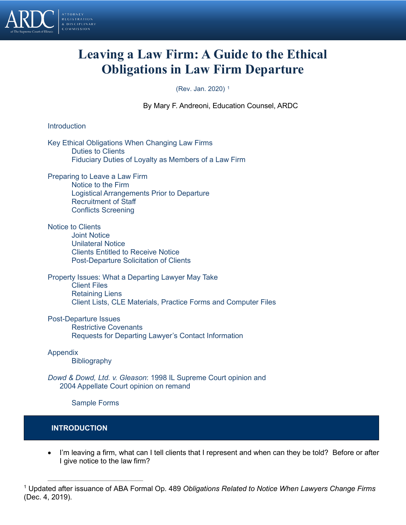

# **Leaving a Law Firm: A Guide to the Ethical Obligations in Law Firm Departure**

(Rev. Jan. 2020) [1](#page-0-1)

By Mary F. Andreoni, Education Counsel, ARDC

**[Introduction](#page-0-0)** 

[Key Ethical Obligations When Changing Law Firms](#page-2-0) [Duties to Clients](#page-2-1) [Fiduciary Duties of Loyalty as Members of a Law Firm](#page-3-0)

[Preparing to Leave a Law Firm](#page-4-0) [Notice to the Firm](#page-4-1) [Logistical Arrangements Prior to Departure](#page-5-0) [Recruitment of Staff](#page-6-0) [Conflicts Screening](#page-6-1)

[Notice to Clients](#page-7-0) [Joint Notice](#page-7-1) [Unilateral Notice](#page-8-0) [Clients Entitled to Receive Notice](#page-9-0) [Post-Departure Solicitation of Clients](#page-10-0)

[Property Issues: What a Departing Lawyer May Take](#page-11-0) [Client Files](#page-11-1) [Retaining Liens](#page-12-0) [Client Lists, CLE Materials, Practice Forms and Computer Files](#page-12-1)

[Post-Departure Issues](#page-13-0) [Restrictive Covenants](#page-14-0) [Requests for Departing Lawyer's Contact Information](#page-14-1)

[Appendix](#page-16-0)

**[Bibliography](#page-16-1)** 

*Dowd & Dowd, Ltd. v. Gleason*[: 1998 IL Supreme Court opinion](#page-22-0) and [2004 Appellate Court opinion](#page-36-0) on remand

[Sample Forms](#page-17-0)

# <span id="page-0-0"></span>**INTRODUCTION**

I'm leaving a firm, what can I tell clients that I represent and when can they be told? Before or after I give notice to the law firm?

<span id="page-0-1"></span><sup>1</sup> Updated after issuance of ABA Formal Op. 489 *Obligations Related to Notice When Lawyers Change Firms*  (Dec. 4, 2019).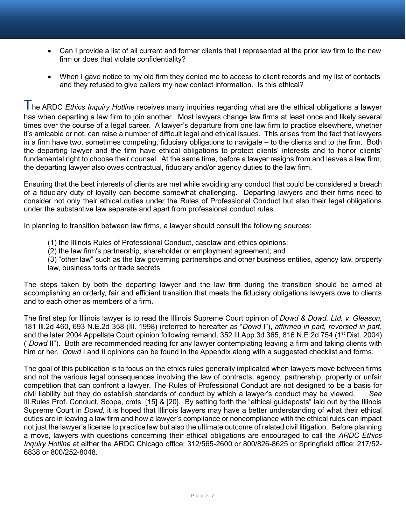- Can I provide a list of all current and former clients that I represented at the prior law firm to the new firm or does that violate confidentiality?
- When I gave notice to my old firm they denied me to access to client records and my list of contacts and they refused to give callers my new contact information. Is this ethical?

The ARDC *Ethics Inquiry Hotline* receives many inquiries regarding what are the ethical obligations a lawyer has when departing a law firm to join another. Most lawyers change law firms at least once and likely several times over the course of a legal career. A lawyer's departure from one law firm to practice elsewhere, whether it's amicable or not, can raise a number of difficult legal and ethical issues. This arises from the fact that lawyers in a firm have two, sometimes competing, fiduciary obligations to navigate – to the clients and to the firm. Both the departing lawye[r](javascript:top.docjs.next_hit(13)) and the firm have ethical obligations to protect clients' interests and to honor clients' fundamental right to choose their counsel. At the same time, before a lawyer resigns from and leaves a law firm, the departing lawyer also owes contractual, fiduciary and/or agency duties to the law firm.

Ensuring that the best interests of clients are met while avoiding any conduct that could be considered a breach of a fiduciary duty of loyalty can become somewhat challenging. Departing lawyers and their firms need to consider not only their ethical duties under the Rules of Professional Conduct but also their legal obligations under the substantive law separate and apart from professional conduct rules.

In planning to transition between law firms, a lawyer should consult the following sources:

- (1) the Illinois Rules of Professional Conduct, caselaw and ethics opinions;
- (2) the law firm's partnership, shareholder or employment agreement; and

(3) "other law" such as the law governing partnerships and other business entities, agency law, property law, business torts or trade secrets.

The steps taken by both the departing lawyer and the law firm during the transition should be aimed at accomplishing an orderly, fair and efficient transition that meets the fiduciary obligations lawyers owe to clients and to each other as members of a firm.

The first step for Illinois lawyer is to read the Illinois Supreme Court opinion of *Dowd & Dowd. Ltd. v. Gleason*, 181 Ill.2d 460, 693 N.E.2d 358 (Ill. 1998) (referred to hereafter as "*Dowd* I"), *affirmed in part, reversed in part*, and the later 2004 Appellate Court opinion following remand, 352 III.App.3d 365, 816 N.E.2d 754 (1<sup>st</sup> Dist. 2004) ("*Dowd* II"). Both are recommended reading for any lawyer contemplating leaving a firm and taking clients with him or her. *Dowd* I and II opinions can be found in the Appendix along with a suggested checklist and forms.

The goal of this publication is to focus on the ethics rules generally implicated when lawyers move between firms and not the various legal consequences involving the law of contracts, agency, partnership, property or unfair competition that can confront a lawyer. The Rules of Professional Conduct are not designed to be a basis for civil liability but they do establish standards of conduct by which a lawyer's conduct may be viewed. *See* Ill.Rules Prof. Conduct, Scope, cmts. [15] & [20]. By setting forth the "ethical guideposts" laid out by the Illinois Supreme Court in *Dowd,* it is hoped that Illinois lawyers may have a better understanding of what their ethical duties are in leaving a law firm and how a lawyer's compliance or noncompliance with the ethical rules can impact not just the lawyer's license to practice law but also the ultimate outcome of related civil litigation. Before planning a move, lawyers with questions concerning their ethical obligations are encouraged to call the *ARDC Ethics Inquiry Hotline* at either the ARDC Chicago office: 312/565-2600 or 800/826-8625 or Springfield office: 217/52- 6838 or 800/252-8048.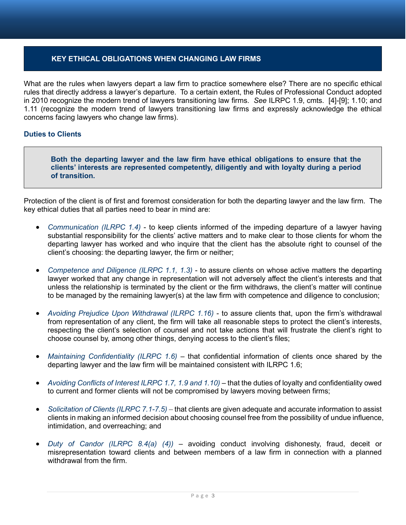# <span id="page-2-0"></span>**KEY ETHICAL OBLIGATIONS WHEN CHANGING LAW FIRMS**

What are the rules when lawyers depart a law firm to practice somewhere else? There are no specific ethical rules that directly address a lawyer's departure. To a certain extent, the Rules of Professional Conduct adopted in 2010 recognize the modern trend of lawyers transitioning law firms. *See* ILRPC 1.9, cmts. [4]-[9]; 1.10; and 1.11 (recognize the modern trend of lawyers transitioning law firms and expressly acknowledge the ethical concerns facing lawyers who change law firms).

## <span id="page-2-1"></span>**Duties to Clients**

**Both the departing lawyer and the law firm have ethical obligations to ensure that the clients' interests are represented competently, diligently and with loyalty during a period of transition.** 

Protection of the client is of first and foremost consideration for both the departing lawyer and the law firm. The key ethical duties that all parties need to bear in mind are:

- *Communication (ILRPC 1.4)* to keep clients informed of the impeding departure of a lawyer having substantial responsibility for the clients' active matters and to make clear to those clients for whom the departing lawyer has worked and who inquire that the client has the absolute right to counsel of the client's choosing: the departing lawyer, the firm or neither;
- *Competence and Diligence (ILRPC 1.1, 1.3)* to assure clients on whose active matters the departing lawyer worked that any change in representation will not adversely affect the client's interests and that unless the relationship is terminated by the client or the firm withdraws, the client's matter will continue to be managed by the remaining lawyer(s) at the law firm with competence and diligence to conclusion;
- *Avoiding Prejudice Upon Withdrawal (ILRPC 1.16)* to assure clients that, upon the firm's withdrawal from representation of any client, the firm will take all reasonable steps to protect the client's interests, respecting the client's selection of counsel and not take actions that will frustrate the client's right to choose counsel by, among other things, denying access to the client's files;
- *Maintaining Confidentiality (ILRPC 1.6)* that confidential information of clients once shared by the departing lawyer and the law firm will be maintained consistent with ILRPC 1.6;
- *Avoiding Conflicts of Interest ILRPC 1.7, 1.9 and 1.10)* that the duties of loyalty and confidentiality owed to current and former clients will not be compromised by lawyers moving between firms;
- *Solicitation of Clients (ILRPC 7.1-7.5)* that clients are given adequate and accurate information to assist clients in making an informed decision about choosing counsel free from the possibility of undue influence, intimidation, and overreaching; and
- *Duty of Candor (ILRPC 8.4(a) (4)) –* avoiding conduct involving dishonesty, fraud, deceit or misrepresentation toward clients and between members of a law firm in connection with a planned withdrawal from the firm.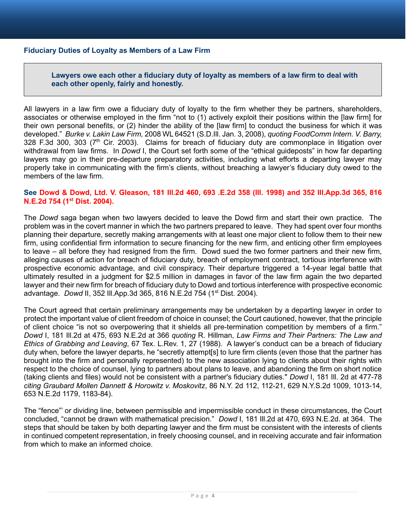## <span id="page-3-0"></span>**Fiduciary Duties of Loyalty as Members of a Law Firm**

**Lawyers owe each other a fiduciary duty of loyalty as members of a law firm to deal with each other openly, fairly and honestly.**

All lawyers in a law firm owe a fiduciary duty of loyalty to the firm whether they be partners, shareholders, associates or otherwise employed in the firm "not to (1) actively exploit their positions within the [law firm] for their own personal benefits, or (2) hinder the ability of the [law firm] to conduct the business for which it was developed." *Burke v. Lakin Law Firm,* 2008 WL 64521 (S.D.Ill. Jan. 3, 2008), *quoting FoodComm Intern. V. Barry,* 328 F.3d 300, 303 ( $7<sup>th</sup>$  Cir. 2003). Claims for breach of fiduciary duty are commonplace in litigation over withdrawal from law firms. In *Dowd* I, the Court set forth some of the "ethical guideposts" in how far departing lawyers may go in their pre-departure preparatory activities, including what efforts a departing lawyer may properly take in communicating with the firm's clients, without breaching a lawyer's fiduciary duty owed to the members of the law firm.

## **See [Dowd & Dowd, Ltd. V. Gleason, 181 Ill.2d 460, 693 .E.2d 358 \(Ill. 1998\)](#page-22-0) and [352 Ill.App.3d 365, 816](#page-36-0)  [N.E.2d 754 \(1st](#page-36-0) Dist. 2004).**

The *Dowd* saga began when two lawyers decided to leave the Dowd firm and start their own practice. The problem was in the covert manner in which the two partners prepared to leave. They had spent over four months planning their departure, secretly making arrangements with at least one major client to follow them to their new firm, using confidential firm information to secure financing for the new firm, and enticing other firm employees to leave – all before they had resigned from the firm. Dowd sued the two former partners and their new firm, alleging causes of action for breach of fiduciary duty, breach of employment contract, tortious interference with prospective economic advantage, and civil conspiracy. Their departure triggered a 14-year legal battle that ultimately resulted in a judgment for \$2.5 million in damages in favor of the law firm again the two departed lawyer and their new firm for breach of fiduciary duty to Dowd and tortious interference with prospective economic advantage. *Dowd* II, 352 Ill.App.3d 365, 816 N.E.2d 754 (1st Dist. 2004).

The Court agreed that certain preliminary arrangements may be undertaken by a departing lawyer in order to protect the important value of client freedom of choice in counsel; the Court cautioned, however, that the principle of client choice "is not so overpowering that it shields all pre-termination competition by members of a firm." *Dowd* I, 181 Ill.2d at 475, 693 N.E.2d at 366 *quoting* R. Hillman, *Law Firms and Their Partners: The Law and Ethics of Grabbing and Leaving*, 67 Tex. L.Rev. 1, 27 (1988). A lawyer's conduct can be a breach of fiduciary duty when, before the lawyer departs, he "secretly attempt[s] to lure firm clients (even those that the partner has brought into the firm and personally represented) to the new association lying to clients about their rights with respect to the choice of counsel, lying to partners about plans to leave, and abandoning the firm on short notice (taking clients and files) would not be consistent with a partner's fiduciary duties." *Dowd* I, 181 Ill. 2d at 477-78 *citing Graubard Mollen Dannett & Horowitz v. Moskovitz*, 86 N.Y. 2d 112, 112-21, 629 N.Y.S.2d 1009, 1013-14, 653 N.E.2d 1179, 1183-84).

The "fence"' or dividing line, between permissible and impermissible conduct in these circumstances, the Court concluded, "cannot be drawn with mathematical precision." *Dowd* I, 181 Ill.2d at 470, 693 N.E.2d. at 364. The steps that should be taken by both departing lawyer and the firm must be consistent with the interests of clients in continued competent representation, in freely choosing counsel, and in receiving accurate and fair information from which to make an informed choice.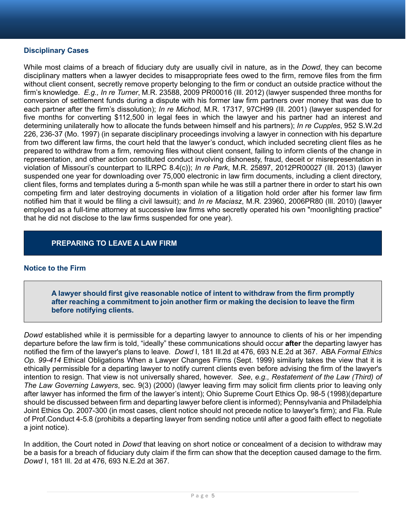## **Disciplinary Cases**

While most claims of a breach of fiduciary duty are usually civil in nature, as in the *Dowd*, they can become disciplinary matters when a lawyer decides to misappropriate fees owed to the firm, remove files from the firm without client consent, secretly remove property belonging to the firm or conduct an outside practice without the firm's knowledge. *E.g., In re Turner*, M.R. 23588, 2009 PR00016 (Ill. 2012) (lawyer suspended three months for conversion of settlement funds during a dispute with his former law firm partners over money that was due to each partner after the firm's dissolution); *In re Michod,* M.R. 17317, 97CH99 (Ill. 2001) (lawyer suspended for five months for converting \$112,500 in legal fees in which the lawyer and his partner had an interest and determining unilaterally how to allocate the funds between himself and his partners); *In re Cupples*, 952 S.W.2d 226, 236-37 (Mo. 1997) (in separate disciplinary proceedings involving a lawyer in connection with his departure from two different law firms, the court held that the lawyer's conduct, which included secreting client files as he prepared to withdraw from a firm, removing files without client consent, failing to inform clients of the change in representation, and other action constituted conduct involving dishonesty, fraud, deceit or misrepresentation in violation of Missouri's counterpart to ILRPC 8.4(c)); *In re Park*, M.R. 25897, 2012PR00027 (Ill. 2013) (lawyer suspended one year for downloading over 75,000 electronic in law firm documents, including a client directory, client files, forms and templates during a 5-month span while he was still a partner there in order to start his own competing firm and later destroying documents in violation of a litigation hold order after his former law firm notified him that it would be filing a civil lawsuit); and *In re Maciasz*, M.R. 23960, 2006PR80 (Ill. 2010) (lawyer employed as a full-time attorney at successive law firms who secretly operated his own "moonlighting practice" that he did not disclose to the law firms suspended for one year).

# <span id="page-4-0"></span>**PREPARING TO LEAVE A LAW FIRM**

# <span id="page-4-1"></span>**Notice to the Firm**

**A lawyer should first give reasonable notice of intent to withdraw from the firm promptly after reaching a commitment to join another firm or making the decision to leave the firm before notifying clients.** 

*Dowd* established while it is permissible for a departing lawyer to announce to clients of his or her impending departure before the law firm is told, "ideally" these communications should occur **after** the departing lawyer has notified the firm of the lawyer's plans to leave. *Dowd* I, 181 Ill.2d at 476, 693 N.E.2d at 367. ABA *Formal Ethics Op. 99-414* Ethical Obligations When a Lawyer Changes Firms (Sept. 1999) similarly takes the view that it is ethically permissible for a departing lawyer to notify current clients even before advising the firm of the lawyer's intention to resign. That view is not universally shared, however. *See*, *e.g., Restatement of the Law (Third) of The Law Governing Lawyers*, sec. 9(3) (2000) (lawyer leaving firm may solicit firm clients prior to leaving only after lawyer has informed the firm of the lawyer's intent); Ohio Supreme Court Ethics Op. 98-5 (1998)(departure should be discussed between firm and departing lawyer before client is informed); Pennsylvania and Philadelphia Joint Ethics Op. 2007-300 (in most cases, client notice should not precede notice to lawyer's firm); and Fla. Rule of Prof.Conduct 4-5.8 (prohibits a departing lawyer from sending notice until after a good faith effect to negotiate a joint notice).

In addition, the Court noted in *Dowd* that leaving on short notice or concealment of a decision to withdraw may be a basis for a breach of fiduciary duty claim if the firm can show that the deception caused damage to the firm. *Dowd* I, 181 Ill. 2d at 476, 693 N.E.2d at 367.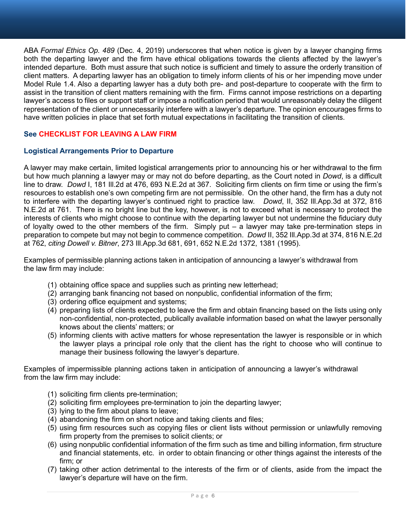ABA *Formal Ethics Op. 489* (Dec. 4, 2019) underscores that when notice is given by a lawyer changing firms both the departing lawyer and the firm have ethical obligations towards the clients affected by the lawyer's intended departure. Both must assure that such notice is sufficient and timely to assure the orderly transition of client matters. A departing lawyer has an obligation to timely inform clients of his or her impending move under Model Rule 1.4. Also a departing lawyer has a duty both pre- and post-departure to cooperate with the firm to assist in the transition of client matters remaining with the firm. Firms cannot impose restrictions on a departing lawyer's access to files or support staff or impose a notification period that would unreasonably delay the diligent representation of the client or unnecessarily interfere with a lawyer's departure. The opinion encourages firms to have written policies in place that set forth mutual expectations in facilitating the transition of clients.

## **See [CHECKLIST FOR LEAVING A LAW FIRM](#page-17-1)**

## <span id="page-5-0"></span>**Logistical Arrangements Prior to Departure**

A lawyer may make certain, limited logistical arrangements prior to announcing his or her withdrawal to the firm but how much planning a lawyer may or may not do before departing, as the Court noted in *Dowd*, is a difficult line to draw. *Dowd* I, 181 Ill.2d at 476, 693 N.E.2d at 367. Soliciting firm clients on firm time or using the firm's resources to establish one's own competing firm are not permissible. On the other hand, the firm has a duty not to interfere with the departing lawyer's continued right to practice law. *Dowd*, II, 352 Ill.App.3d at 372, 816 N.E.2d at 761. There is no bright line but the key, however, is not to exceed what is necessary to protect the interests of clients who might choose to continue with the departing lawyer but not undermine the fiduciary duty of loyalty owed to the other members of the firm. Simply put – a lawyer may take pre-termination steps in preparation to compete but may not begin to commence competition. *Dowd* II, 352 Ill.App.3d at 374, 816 N.E.2d at 762, *citing Dowell v. Bitner*, 273 Ill.App.3d 681, 691, 652 N.E.2d 1372, 1381 (1995).

Examples of permissible planning actions taken in anticipation of announcing a lawyer's withdrawal from the law firm may include:

- (1) obtaining office space and supplies such as printing new letterhead;
- (2) arranging bank financing not based on nonpublic, confidential information of the firm;
- (3) ordering office equipment and systems;
- (4) preparing lists of clients expected to leave the firm and obtain financing based on the lists using only non-confidential, non-protected, publically available information based on what the lawyer personally knows about the clients' matters; or
- (5) informing clients with active matters for whose representation the lawyer is responsible or in which the lawyer plays a principal role only that the client has the right to choose who will continue to manage their business following the lawyer's departure.

Examples of impermissible planning actions taken in anticipation of announcing a lawyer's withdrawal from the law firm may include:

- (1) soliciting firm clients pre-termination;
- (2) soliciting firm employees pre-termination to join the departing lawyer;
- (3) lying to the firm about plans to leave;
- (4) abandoning the firm on short notice and taking clients and files;
- (5) using firm resources such as copying files or client lists without permission or unlawfully removing firm property from the premises to solicit clients; or
- (6) using nonpublic confidential information of the firm such as time and billing information, firm structure and financial statements, etc. in order to obtain financing or other things against the interests of the firm; or
- (7) taking other action detrimental to the interests of the firm or of clients, aside from the impact the lawyer's departure will have on the firm.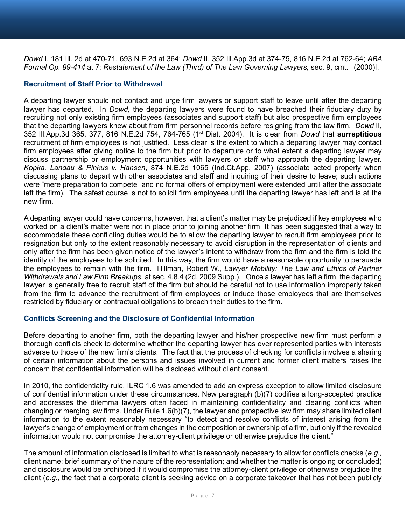*Dowd* I, 181 Ill. 2d at 470-71, 693 N.E.2d at 364; *Dowd* II, 352 Ill.App.3d at 374-75, 816 N.E.2d at 762-64; *ABA Formal Op. 99-414* at 7; *Restatement of the Law (Third) of The Law Governing Lawyers,* sec. 9, cmt. i (2000)I.

# <span id="page-6-0"></span>**Recruitment of Staff Prior to Withdrawal**

A departing lawyer should not contact and urge firm lawyers or support staff to leave until after the departing lawyer has departed. In *Dowd,* the departing lawyers were found to have breached their fiduciary duty by recruiting not only existing firm employees (associates and support staff) but also prospective firm employees that the departing lawyers knew about from firm personnel records before resigning from the law firm. *Dowd* II, 352 Ill.App.3d 365, 377, 816 N.E.2d 754, 764-765 (1st Dist. 2004). It is clear from *Dowd* that **surreptitious** recruitment of firm employees is not justified. Less clear is the extent to which a departing lawyer may contact firm employees after giving notice to the firm but prior to departure or to what extent a departing lawyer may discuss partnership or employment opportunities with lawyers or staff who approach the departing lawyer. *Kopka, Landau & Pinkus v. Hansen*, 874 N.E.2d 1065 (Ind.Ct.App. 2007) (associate acted properly when discussing plans to depart with other associates and staff and inquiring of their desire to leave; such actions were "mere preparation to compete" and no formal offers of employment were extended until after the associate left the firm). The safest course is not to solicit firm employees until the departing lawyer has left and is at the new firm.

A departing lawyer could have concerns, however, that a client's matter may be prejudiced if key employees who worked on a client's matter were not in place prior to joining another firm It has been suggested that a way to accommodate these conflicting duties would be to allow the departing lawyer to recruit firm employees prior to resignation but only to the extent reasonably necessary to avoid disruption in the representation of clients and only after the firm has been given notice of the lawyer's intent to withdraw from the firm and the firm is told the identity of the employees to be solicited. In this way, the firm would have a reasonable opportunity to persuade the employees to remain with the firm. Hillman, Robert W., *Lawyer Mobility: The Law and Ethics of Partner Withdrawals and Law Firm Breakups*, at sec. 4.8.4 (2d. 2009 Supp.). Once a lawyer has left a firm, the departing lawyer is generally free to recruit staff of the firm but should be careful not to use information improperly taken from the firm to advance the recruitment of firm employees or induce those employees that are themselves restricted by fiduciary or contractual obligations to breach their duties to the firm.

# <span id="page-6-1"></span>**Conflicts Screening and the Disclosure of Confidential Information**

Before departing to another firm, both the departing lawyer and his/her prospective new firm must perform a thorough conflicts check to determine whether the departing lawyer has ever represented parties with interests adverse to those of the new firm's clients. The fact that the process of checking for conflicts involves a sharing of certain information about the persons and issues involved in current and former client matters raises the concern that confidential information will be disclosed without client consent.

In 2010, the confidentiality rule, ILRC 1.6 was amended to add an express exception to allow limited disclosure of confidential information under these circumstances. New paragraph (b)(7) codifies a long-accepted practice and addresses the dilemma lawyers often faced in maintaining confidentiality and clearing conflicts when changing or merging law firms. Under Rule 1.6(b)(7), the lawyer and prospective law firm may share limited client information to the extent reasonably necessary "to detect and resolve conflicts of interest arising from the lawyer's change of employment or from changes in the composition or ownership of a firm, but only if the revealed information would not compromise the attorney-client privilege or otherwise prejudice the client."

The amount of information disclosed is limited to what is reasonably necessary to allow for conflicts checks (*e.g.,* client name; brief summary of the nature of the representation; and whether the matter is ongoing or concluded) and disclosure would be prohibited if it would compromise the attorney-client privilege or otherwise prejudice the client (*e.g.,* the fact that a corporate client is seeking advice on a corporate takeover that has not been publicly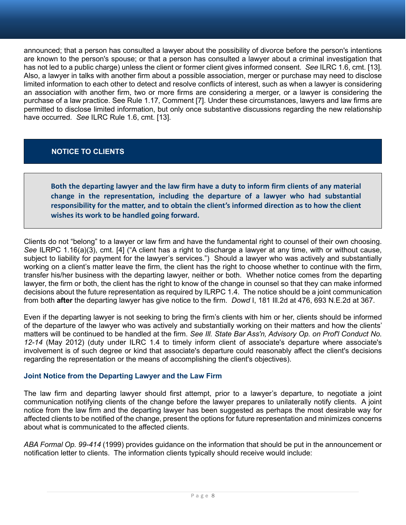announced; that a person has consulted a lawyer about the possibility of divorce before the person's intentions are known to the person's spouse; or that a person has consulted a lawyer about a criminal investigation that has not led to a public charge) unless the client or former client gives informed consent. *See* ILRC 1.6, cmt. [13]. Also, a lawyer in talks with another firm about a possible association, merger or purchase may need to disclose limited information to each other to detect and resolve conflicts of interest, such as when a lawyer is considering an association with another firm, two or more firms are considering a merger, or a lawyer is considering the purchase of a law practice. See Rule 1.17, Comment [7]. Under these circumstances, lawyers and law firms are permitted to disclose limited information, but only once substantive discussions regarding the new relationship have occurred. *See* ILRC Rule 1.6, cmt. [13].

# <span id="page-7-0"></span>**NOTICE TO CLIENTS**

**Both the departing lawyer and the law firm have a duty to inform firm clients of any material change in the representation, including the departure of a lawyer who had substantial responsibility for the matter, and to obtain the client's informed direction as to how the client wishes its work to be handled going forward.** 

Clients do not "belong" to a lawyer or law firm and have the fundamental right to counsel of their own choosing. *See* ILRPC 1.16(a)(3), cmt. [4] ("A client has a right to discharge a lawyer at any time, with or without cause, subject to liability for payment for the lawyer's services.") Should a lawyer who was actively and substantially working on a client's matter leave the firm, the client has the right to choose whether to continue with the firm, transfer his/her business with the departing lawyer, neither or both. Whether notice comes from the departing lawyer, the firm or both, the client has the right to know of the change in counsel so that they can make informed decisions about the future representation as required by ILRPC 1.4. The notice should be a joint communication from both **after** the departing lawyer has give notice to the firm. *Dowd* I, 181 Ill.2d at 476, 693 N.E.2d at 367.

Even if the departing lawyer is not seeking to bring the firm's clients with him or her, clients should be informed of the departure of the lawyer who was actively and substantially working on their matters and how the clients' matters will be continued to be handled at the firm. *See Ill. State Bar Ass'n, Advisory Op. on Prof'l Conduct No. 12-14* (May 2012) (duty under ILRC 1.4 to timely inform client of associate's departure where associate's involvement is of such degree or kind that associate's departure could reasonably affect the client's decisions regarding the representation or the means of accomplishing the client's objectives).

# <span id="page-7-1"></span>**Joint Notice from the Departing Lawyer and the Law Firm**

The law firm and departing lawyer should first attempt, prior to a lawyer's departure, to negotiate a joint communication notifying clients of the change before the lawyer prepares to unilaterally notify clients. A joint notice from the law firm and the departing lawyer has been suggested as perhaps the most desirable way for affected clients to be notified of the change, present the options for future representation and minimizes concerns about what is communicated to the affected clients.

*ABA Formal Op. 99-414* (1999) provides guidance on the information that should be put in the announcement or notification letter to clients. The information clients typically should receive would include: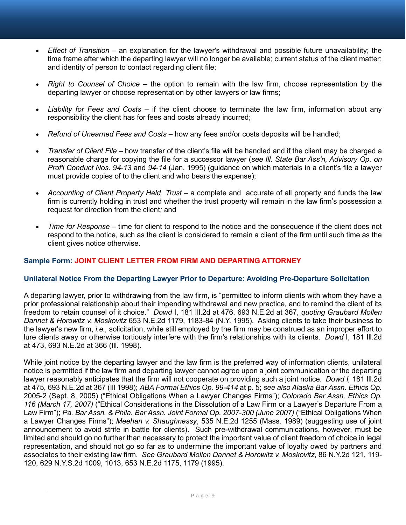- *Effect of Transition* an explanation for the lawyer's withdrawal and possible future unavailability; the time frame after which the departing lawyer will no longer be available; current status of the client matter; and identity of person to contact regarding client file;
- *Right to Counsel of Choice*  the option to remain with the law firm, choose representation by the departing lawyer or choose representation by other lawyers or law firms;
- *Liability for Fees and Costs* if the client choose to terminate the law firm, information about any responsibility the client has for fees and costs already incurred;
- *Refund of Unearned Fees and Costs* how any fees and/or costs deposits will be handled;
- *Transfer of Client File* how transfer of the client's file will be handled and if the client may be charged a reasonable charge for copying the file for a successor lawyer (*see Ill. State Bar Ass'n, Advisory Op. on Prof'l Conduct Nos. 94-13* and *94-14* (Jan. 1995) (guidance on which materials in a client's file a lawyer must provide copies of to the client and who bears the expense);
- *Accounting of Client Property Held Trust*  a complete and accurate of all property and funds the law firm is currently holding in trust and whether the trust property will remain in the law firm's possession a request for direction from the client*;* and
- *Time for Response* time for client to respond to the notice and the consequence if the client does not respond to the notice, such as the client is considered to remain a client of the firm until such time as the client gives notice otherwise.

# **Sample Form: [JOINT CLIENT LETTER FROM FIRM AND DEPARTING ATTORNEY](#page-19-0)**

# <span id="page-8-0"></span>**Unilateral Notice From the Departing Lawyer Prior to Departure: Avoiding Pre-Departure Solicitation**

A departing lawyer, prior to withdrawing from the law firm, is "permitted to inform clients with whom they have a prior professional relationship about their impending withdrawal and new practice, and to remind the client of its freedom to retain counsel of it choice." *Dowd* I, 181 Ill.2d at 476, 693 N.E.2d at 367, *quoting Graubard Mollen Dannet & Horowitz v. Moskovitz* 653 N.E.2d 1179, 1183-84 (N.Y. 1995). Asking clients to take their business to the lawyer's new firm, *i.e.,* solicitation, while still employed by the firm may be construed as an improper effort to lure clients away or otherwise tortiously interfere with the firm's relationships with its clients. *Dowd* I, 181 Ill.2d at 473, 693 N.E.2d at 366 (Ill. 1998).

While joint notice by the departing lawyer and the law firm is the preferred way of information clients, unilateral notice is permitted if the law firm and departing lawyer cannot agree upon a joint communication or the departing lawyer reasonably anticipates that the firm will not cooperate on providing such a joint notice. *Dowd I,* 181 Ill.2d at 475, 693 N.E.2d at 367 (Ill 1998); *ABA Formal Ethics Op. 99-414* at p. 5; *see also Alaska Bar Assn. Ethics Op.*  2005-2 (Sept. 8, 2005) ("Ethical Obligations When a Lawyer Changes Firms"); *Colorado Bar Assn. Ethics Op. 116 (March 17, 2007)* ("Ethical Considerations in the Dissolution of a Law Firm or a Lawyer's Departure From a Law Firm"); *Pa. Bar Assn. & Phila. Bar Assn. Joint Formal Op. 2007-300 (June 2007)* ("Ethical Obligations When a Lawyer Changes Firms"); *Meehan v. Shaughnessy*, 535 N.E.2d 1255 (Mass. 1989) (suggesting use of joint announcement to avoid strife in battle for clients). Such pre-withdrawal communications, however, must be limited and should go no further than necessary to protect the important value of client freedom of choice in legal representation, and should not go so far as to undermine the important value of loyalty owed by partners and associates to their existing law firm. *See Graubard Mollen Dannet & Horowitz v. Moskovitz*, 86 N.Y.2d 121, 119- 120, 629 N.Y.S.2d 1009, 1013, 653 N.E.2d 1175, 1179 (1995).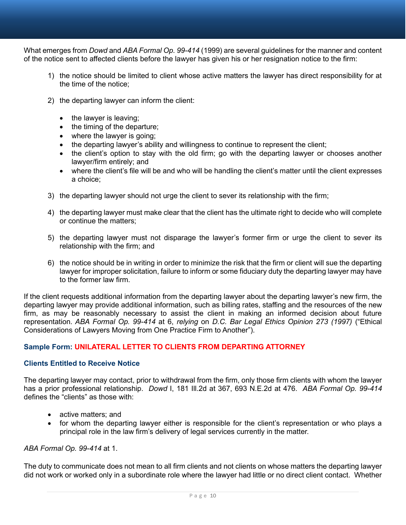What emerges from *Dowd* and *ABA Formal Op. 99-414* (1999) are several guidelines for the manner and content of the notice sent to affected clients before the lawyer has given his or her resignation notice to the firm:

- 1) the notice should be limited to client whose active matters the lawyer has direct responsibility for at the time of the notice;
- 2) the departing lawyer can inform the client:
	- the lawyer is leaving;
	- the timing of the departure;
	- where the lawyer is going;
	- the departing lawyer's ability and willingness to continue to represent the client;
	- the client's option to stay with the old firm; go with the departing lawyer or chooses another lawyer/firm entirely; and
	- where the client's file will be and who will be handling the client's matter until the client expresses a choice;
- 3) the departing lawyer should not urge the client to sever its relationship with the firm;
- 4) the departing lawyer must make clear that the client has the ultimate right to decide who will complete or continue the matters;
- 5) the departing lawyer must not disparage the lawyer's former firm or urge the client to sever its relationship with the firm; and
- 6) the notice should be in writing in order to minimize the risk that the firm or client will sue the departing lawyer for improper solicitation, failure to inform or some fiduciary duty the departing lawyer may have to the former law firm.

If the client requests additional information from the departing lawyer about the departing lawyer's new firm, the departing lawyer may provide additional information, such as billing rates, staffing and the resources of the new firm, as may be reasonably necessary to assist the client in making an informed decision about future representation*. ABA Formal Op. 99-414* at 6, *relying* on *D.C. Bar Legal Ethics Opinion 273 (1997)* ("Ethical Considerations of Lawyers Moving from One Practice Firm to Another").

# **Sample Form: [UNILATERAL LETTER TO CLIENTS FROM DEPARTING ATTORNEY](#page-20-0)**

## <span id="page-9-0"></span>**Clients Entitled to Receive Notice**

The departing lawyer may contact, prior to withdrawal from the firm, only those firm clients with whom the lawyer has a prior professional relationship. *Dowd* I, 181 Ill.2d at 367, 693 N.E.2d at 476. *ABA Formal Op. 99-414* defines the "clients" as those with:

- active matters; and
- for whom the departing lawyer either is responsible for the client's representation or who plays a principal role in the law firm's delivery of legal services currently in the matter.

## *ABA Formal Op. 99-414* at 1.

The duty to communicate does not mean to all firm clients and not clients on whose matters the departing lawyer did not work or worked only in a subordinate role where the lawyer had little or no direct client contact. Whether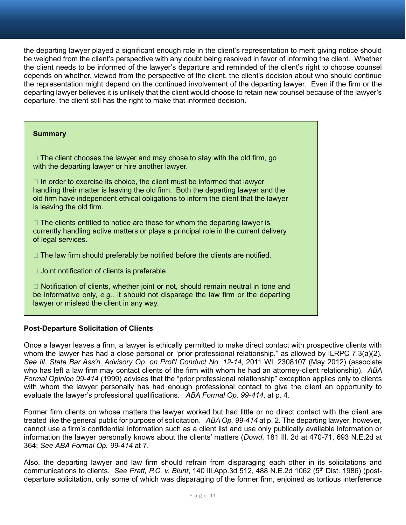the departing lawyer played a significant enough role in the client's representation to merit giving notice should be weighed from the client's perspective with any doubt being resolved in favor of informing the client. Whether the client needs to be informed of the lawyer's departure and reminded of the client's right to choose counsel depends on whether, viewed from the perspective of the client, the client's decision about who should continue the representation might depend on the continued involvement of the departing lawyer. Even if the firm or the departing lawyer believes it is unlikely that the client would choose to retain new counsel because of the lawyer's departure, the client still has the right to make that informed decision.

| <b>Summary</b>                                                                                                                                                                                                                                                                        |
|---------------------------------------------------------------------------------------------------------------------------------------------------------------------------------------------------------------------------------------------------------------------------------------|
| $\Box$ The client chooses the lawyer and may chose to stay with the old firm, go<br>with the departing lawyer or hire another lawyer.                                                                                                                                                 |
| $\Box$ In order to exercise its choice, the client must be informed that lawyer<br>handling their matter is leaving the old firm. Both the departing lawyer and the<br>old firm have independent ethical obligations to inform the client that the lawyer<br>is leaving the old firm. |
| $\Box$ The clients entitled to notice are those for whom the departing lawyer is<br>currently handling active matters or plays a principal role in the current delivery<br>of legal services.                                                                                         |
| $\Box$ The law firm should preferably be notified before the clients are notified.                                                                                                                                                                                                    |
| $\Box$ Joint notification of clients is preferable.                                                                                                                                                                                                                                   |
| $\Box$ Notification of clients, whether joint or not, should remain neutral in tone and<br>be informative only, e.g., it should not disparage the law firm or the departing<br>lawyer or mislead the client in any way.                                                               |

# <span id="page-10-0"></span>**Post-Departure Solicitation of Clients**

Once a lawyer leaves a firm, a lawyer is ethically permitted to make direct contact with prospective clients with whom the lawyer has had a close personal or "prior professional relationship," as allowed by ILRPC 7.3(a)(2). *See Ill. State Bar Ass'n, Advisory Op. on Prof'l Conduct No. 12-14*, 2011 WL 2308107 (May 2012) (associate who has left a law firm may contact clients of the firm with whom he had an attorney-client relationship). *ABA Formal Opinion 99-414* (1999) advises that the "prior professional relationship" exception applies only to clients with whom the lawyer personally has had enough professional contact to give the client an opportunity to evaluate the lawyer's professional qualifications. *ABA Formal Op. 99-414*, at p. 4.

Former firm clients on whose matters the lawyer worked but had little or no direct contact with the client are treated like the general public for purpose of solicitation. *ABA Op. 99-414* at p. 2. The departing lawyer, however, cannot use a firm's confidential information such as a client list and use only publically available information or information the lawyer personally knows about the clients' matters (*Dowd*, 181 Ill. 2d at 470-71, 693 N.E.2d at 364; *See ABA Formal Op. 99-414* at 7.

Also, the departing lawyer and law firm should refrain from disparaging each other in its solicitations and communications to clients. *See Pratt, P.C. v. Blunt*, 140 Ill.App.3d 512, 488 N.E.2d 1062 (5th Dist. 1986) (postdeparture solicitation, only some of which was disparaging of the former firm, enjoined as tortious interference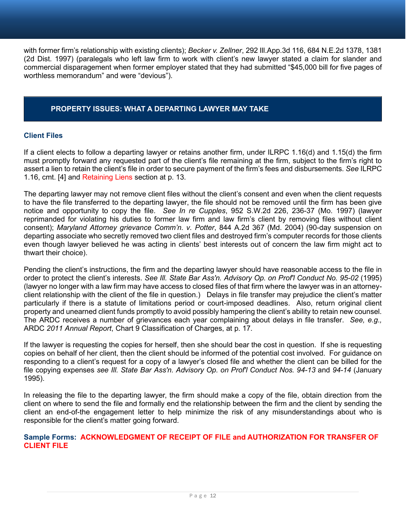with former firm's relationship with existing clients); *Becker v. Zellner*, 292 Ill.App.3d 116, 684 N.E.2d 1378, 1381 (2d Dist. 1997) (paralegals who left law firm to work with client's new lawyer stated a claim for slander and commercial disparagement when former employer stated that they had submitted "\$45,000 bill for five pages of worthless memorandum" and were "devious").

# <span id="page-11-0"></span>**PROPERTY ISSUES: WHAT A DEPARTING LAWYER MAY TAKE**

## <span id="page-11-1"></span>**Client Files**

If a client elects to follow a departing lawyer or retains another firm, under ILRPC 1.16(d) and 1.15(d) the firm must promptly forward any requested part of the client's file remaining at the firm, subject to the firm's right to assert a lien to retain the client's file in order to secure payment of the firm's fees and disbursements. *See* ILRPC 1.16, cmt. [4] and [Retaining Liens](#page-12-0) section at p. 13.

The departing lawyer may not remove client files without the client's consent and even when the client requests to have the file transferred to the departing lawyer, the file should not be removed until the firm has been give notice and opportunity to copy the file. *See In re Cupples*, 952 S.W.2d 226, 236-37 (Mo. 1997) (lawyer reprimanded for violating his duties to former law firm and law firm's client by removing files without client consent); *Maryland Attorney grievance Comm'n. v. Potter*, 844 A.2d 367 (Md. 2004) (90-day suspension on departing associate who secretly removed two client files and destroyed firm's computer records for those clients even though lawyer believed he was acting in clients' best interests out of concern the law firm might act to thwart their choice).

Pending the client's instructions, the firm and the departing lawyer should have reasonable access to the file in order to protect the client's interests. *See Ill. State Bar Ass'n. Advisory Op. on Prof'l Conduct No. 95-02* (1995) (lawyer no longer with a law firm may have access to closed files of that firm where the lawyer was in an attorneyclient relationship with the client of the file in question.) Delays in file transfer may prejudice the client's matter particularly if there is a statute of limitations period or court-imposed deadlines. Also, return original client property and unearned client funds promptly to avoid possibly hampering the client's ability to retain new counsel. The ARDC receives a number of grievances each year complaining about delays in file transfer. *See, e.g.,* ARDC *2011 Annual Report*, Chart 9 Classification of Charges, at p. 17.

If the lawyer is requesting the copies for herself, then she should bear the cost in question. If she is requesting copies on behalf of her client, then the client should be informed of the potential cost involved. For guidance on responding to a client's request for a copy of a lawyer's closed file and whether the client can be billed for the file copying expenses *see Ill. State Bar Ass'n. Advisory Op. on Prof'l Conduct Nos. 94-13* and *94-14* (January 1995).

In releasing the file to the departing lawyer, the firm should make a copy of the file, obtain direction from the client on where to send the file and formally end the relationship between the firm and the client by sending the client an end-of-the engagement letter to help minimize the risk of any misunderstandings about who is responsible for the client's matter going forward.

## **Sample Forms: [ACKNOWLEDGMENT OF RECEIPT OF FILE and AUTHORIZATION FOR TRANSFER OF](#page-21-0)  [CLIENT FILE](#page-21-0)**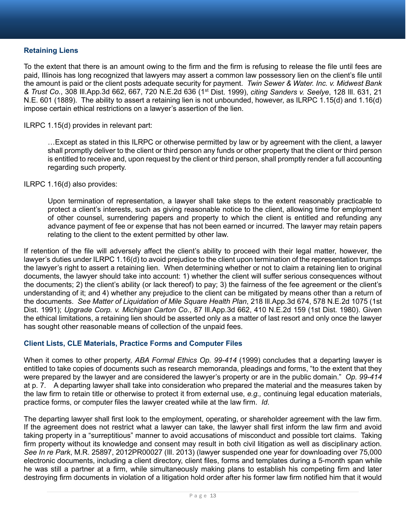## <span id="page-12-0"></span>**Retaining Liens**

To the extent that there is an amount owing to the firm and the firm is refusing to release the file until fees are paid, Illinois has long recognized that lawyers may assert a common law possessory lien on the client's file until the amount is paid or the client posts adequate security for payment. *Twin Sewer & Water. Inc. v. Midwest Bank & Trust Co.*, 308 Ill.App.3d 662, 667, 720 N.E.2d 636 (1st Dist. 1999), *citing Sanders v. Seelye*, 128 Ill. 631, 21 N.E. 601 (1889). The ability to assert a retaining lien is not unbounded, however, as ILRPC 1.15(d) and 1.16(d) impose certain ethical restrictions on a lawyer's assertion of the lien.

ILRPC 1.15(d) provides in relevant part:

…Except as stated in this ILRPC or otherwise permitted by law or by agreement with the client, a lawyer shall promptly deliver to the client or third person any funds or other property that the client or third person is entitled to receive and, upon request by the client or third person, shall promptly render a full accounting regarding such property.

ILRPC 1.16(d) also provides:

Upon termination of representation, a lawyer shall take steps to the extent reasonably practicable to protect a client's interests, such as giving reasonable notice to the client, allowing time for employment of other counsel, surrendering papers and property to which the client is entitled and refunding any advance payment of fee or expense that has not been earned or incurred. The lawyer may retain papers relating to the client to the extent permitted by other law.

If retention of the file will adversely affect the client's ability to proceed with their legal matter, however, the lawyer's duties under ILRPC 1.16(d) to avoid prejudice to the client upon termination of the representation trumps the lawyer's right to assert a retaining lien. When determining whether or not to claim a retaining lien to original documents, the lawyer should take into account: 1) whether the client will suffer serious consequences without the documents; 2) the client's ability (or lack thereof) to pay; 3) the fairness of the fee agreement or the client's understanding of it; and 4) whether any prejudice to the client can be mitigated by means other than a return of the documents. *See Matter of Liquidation of Mile Square Health Plan*, 218 Ill.App.3d 674, 578 N.E.2d 1075 (1st Dist. 1991); *Upgrade Corp. v. Michigan Carton Co*., 87 Ill.App.3d 662, 410 N.E.2d 159 (1st Dist. 1980). Given the ethical limitations, a retaining lien should be asserted only as a matter of last resort and only once the lawyer has sought other reasonable means of collection of the unpaid fees.

## <span id="page-12-1"></span>**Client Lists, CLE Materials, Practice Forms and Computer Files**

When it comes to other property, *ABA Formal Ethics Op. 99-414* (1999) concludes that a departing lawyer is entitled to take copies of documents such as research memoranda, pleadings and forms, "to the extent that they were prepared by the lawyer and are considered the lawyer's property or are in the public domain." *Op. 99-414* at p. 7. A departing lawyer shall take into consideration who prepared the material and the measures taken by the law firm to retain title or otherwise to protect it from external use, *e.g.,* continuing legal education materials, practice forms, or computer files the lawyer created while at the law firm. *Id*.

The departing lawyer shall first look to the employment, operating, or shareholder agreement with the law firm. If the agreement does not restrict what a lawyer can take, the lawyer shall first inform the law firm and avoid taking property in a "surreptitious" manner to avoid accusations of misconduct and possible tort claims. Taking firm property without its knowledge and consent may result in both civil litigation as well as disciplinary action. *See In re Park*, M.R. 25897, 2012PR00027 (Ill. 2013) (lawyer suspended one year for downloading over 75,000 electronic documents, including a client directory, client files, forms and templates during a 5-month span while he was still a partner at a firm, while simultaneously making plans to establish his competing firm and later destroying firm documents in violation of a litigation hold order after his former law firm notified him that it would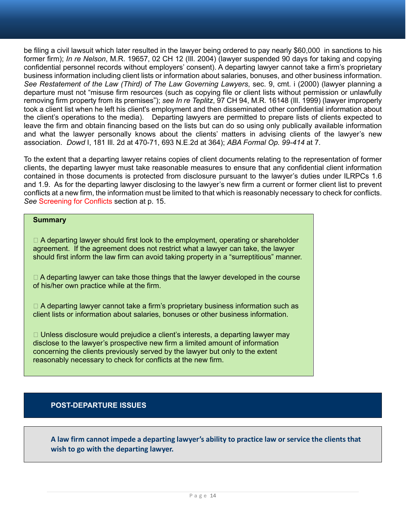be filing a civil lawsuit which later resulted in the lawyer being ordered to pay nearly \$60,000 in sanctions to his former firm); *In re Nelson*, M.R. 19657, 02 CH 12 (Ill. 2004) (lawyer suspended 90 days for taking and copying confidential personnel records without employers' consent). A departing lawyer cannot take a firm's proprietary business information including client lists or information about salaries, bonuses, and other business information. *See Restatement of the Law (Third) of The Law Governing Lawyers*, sec. 9, cmt. i (2000) (lawyer planning a departure must not "misuse firm resources (such as copying file or client lists without permission or unlawfully removing firm property from its premises"); *see In re Teplitz*, 97 CH 94, M.R. 16148 (Ill. 1999) (lawyer improperly took a client list when he left his client's employment and then disseminated other confidential information about the client's operations to the media). Departing lawyers are permitted to prepare lists of clients expected to leave the firm and obtain financing based on the lists but can do so using only publically available information and what the lawyer personally knows about the clients' matters in advising clients of the lawyer's new association. *Dowd* I, 181 Ill. 2d at 470-71, 693 N.E.2d at 364); *ABA Formal Op. 99-414* at 7.

To the extent that a departing lawyer retains copies of client documents relating to the representation of former clients, the departing lawyer must take reasonable measures to ensure that any confidential client information contained in those documents is protected from disclosure pursuant to the lawyer's duties under ILRPCs 1.6 and 1.9. As for the departing lawyer disclosing to the lawyer's new firm a current or former client list to prevent conflicts at a new firm, the information must be limited to that which is reasonably necessary to check for conflicts. *See* [Screening for Conflicts](#page-6-1) section at p. 15.

## **Summary**

 $\Box$  A departing lawyer should first look to the employment, operating or shareholder agreement. If the agreement does not restrict what a lawyer can take, the lawyer should first inform the law firm can avoid taking property in a "surreptitious" manner.

 $\Box$  A departing lawyer can take those things that the lawyer developed in the course of his/her own practice while at the firm.

 $\Box$  A departing lawyer cannot take a firm's proprietary business information such as client lists or information about salaries, bonuses or other business information.

 $\Box$  Unless disclosure would prejudice a client's interests, a departing lawyer may disclose to the lawyer's prospective new firm a limited amount of information concerning the clients previously served by the lawyer but only to the extent reasonably necessary to check for conflicts at the new firm.

## <span id="page-13-0"></span>**POST-DEPARTURE ISSUES**

**A law firm cannot impede a departing lawyer's ability to practice law or service the clients that wish to go with the departing lawyer.**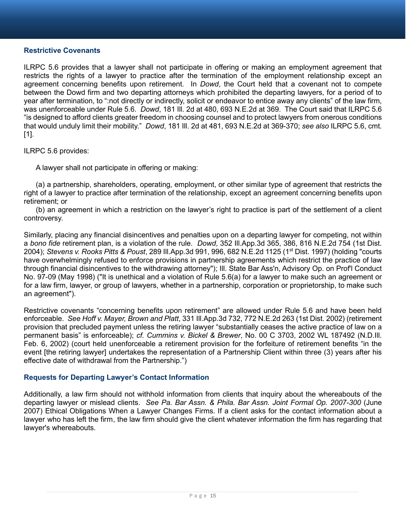## <span id="page-14-0"></span>**Restrictive Covenants**

ILRPC 5.6 provides that a lawyer shall not participate in offering or making an employment agreement that restricts the rights of a lawyer to practice after the termination of the employment relationship except an agreement concerning benefits upon retirement. In *Dowd*, the Court held that a covenant not to compete between the Dowd firm and two departing attorneys which prohibited the departing lawyers, for a period of to year after termination, to ":not directly or indirectly, solicit or endeavor to entice away any clients" of the law firm, was unenforceable under Rule 5.6. *Dowd*, 181 Ill. 2d at 480, 693 N.E.2d at 369. The Court said that ILRPC 5.6 "is designed to afford clients greater freedom in choosing counsel and to protect lawyers from onerous conditions that would unduly limit their mobility." *Dowd*, 181 Ill. 2d at 481, 693 N.E.2d at 369-370; *see also* ILRPC 5.6, cmt. [1].

ILRPC 5.6 provides:

A lawyer shall not participate in offering or making:

(a) a partnership, shareholders, operating, employment, or other similar type of agreement that restricts the right of a lawyer to practice after termination of the relationship, except an agreement concerning benefits upon retirement; or

(b) an agreement in which a restriction on the lawyer's right to practice is part of the settlement of a client controversy.

Similarly, placing any financial disincentives and penalties upon on a departing lawyer for competing, not within a *bono fide* retirement plan, is a violation of the rule. *Dowd*, 352 Ill.App.3d 365, 386, 816 N.E.2d 754 (1st Dist. 2004); *Stevens v. Rooks Pitts & Poust*, 289 Ill.App.3d 991, 996, 682 N.E.2d 1125 (1st Dist. 1997) (holding "courts have overwhelmingly refused to enforce provisions in partnership agreements which restrict the practice of law through financial disincentives to the withdrawing attorney"); Ill. State Bar Ass'n, Advisory Op. on Prof'l Conduct No. 97-09 (May 1998) ("It is unethical and a violation of Rule 5.6(a) for a lawyer to make such an agreement or for a law firm, lawyer, or group of lawyers, whether in a partnership, corporation or proprietorship, to make such an agreement").

Restrictive covenants "concerning benefits upon retirement" are allowed under Rule 5.6 and have been held enforceable. *See Hoff v. Mayer, Brown and Platt*, 331 Ill.App.3d 732, 772 N.E.2d 263 (1st Dist. 2002) (retirement provision that precluded payment unless the retiring lawyer "substantially ceases the active practice of law on a permanent basis" is enforceable); *cf. Cummins v. Bickel & Brewer*, No. 00 C 3703, 2002 WL 187492 (N.D.Ill. Feb. 6, 2002) (court held unenforceable a retirement provision for the forfeiture of retirement benefits "in the event [the retiring lawyer] undertakes the representation of a Partnership Client within three (3) years after his effective date of withdrawal from the Partnership.")

## <span id="page-14-1"></span>**Requests for Departing Lawyer's Contact Information**

Additionally, a law firm should not withhold information from clients that inquiry about the whereabouts of the departing lawyer or mislead clients. *See Pa. Bar Assn. & Phila. Bar Assn. Joint Formal Op. 2007-300* (June 2007) Ethical Obligations When a Lawyer Changes Firms. If a client asks for the contact information about a lawye[r](javascript:top.docjs.next_hit(83)) who has left the fir[m,](javascript:top.docjs.next_hit(84)) the law firm should give the client whatever information the firm has regarding that lawyer's whereabouts.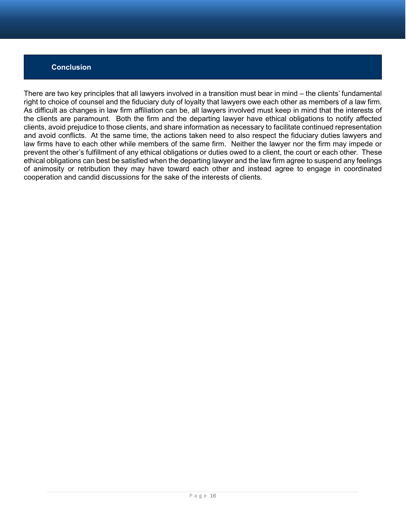# **Conclusion**

There are two key principles that all lawyers involved in a transition must bear in mind – the clients' fundamental right to choice of counsel and the fiduciary duty of loyalty that lawyers owe each other as members of a law firm. As difficult as changes in law firm affiliation can be, all lawyers involved must keep in mind that the interests of the clients are paramount. Both the firm and the departing lawyer have ethical obligations to notify affected clients, avoid prejudice to those clients, and share information as necessary to facilitate continued representation and avoid conflicts. At the same time, the actions taken need to also respect the fiduciary duties lawyers and law firms have to each other while members of the same firm. Neither the lawyer nor the firm may impede or prevent the other's fulfillment of any ethical obligations or duties owed to a client, the court or each other. These ethical obligations can best be satisfied when the departing lawyer and the law firm agree to suspend any feelings of animosity or retribution they may have toward each other and instead agree to engage in coordinated cooperation and candid discussions for the sake of the interests of clients.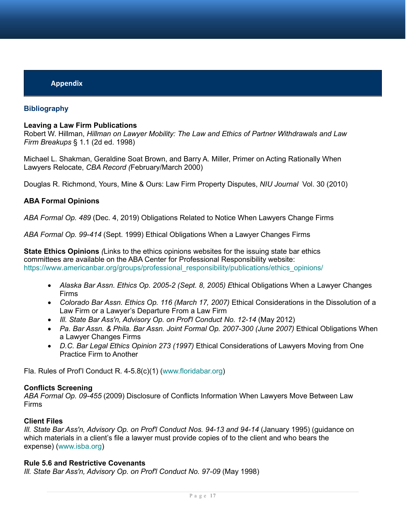## <span id="page-16-0"></span>**Appendix**

#### <span id="page-16-1"></span>**Bibliography**

#### **Leaving a Law Firm Publications**

Robert W. Hillman, *Hillman on Lawyer Mobility: The Law and Ethics of Partner Withdrawals and Law Firm Breakups* § 1.1 (2d ed. 1998)

Michael L. Shakman, Geraldine Soat Brown, and Barry A. Miller, Primer on Acting Rationally When Lawyers Relocate, *CBA Record (*February/March 2000)

Douglas R. Richmond, Yours, Mine & Ours: Law Firm Property Disputes, *NIU Journal* Vol. 30 (2010)

#### **ABA Formal Opinions**

*ABA Formal Op. 489* (Dec. 4, 2019) Obligations Related to Notice When Lawyers Change Firms

*ABA Formal Op. 99-414* (Sept. 1999) Ethical Obligations When a Lawyer Changes Firms

**State Ethics Opinions** *(*Links to the ethics opinions websites for the issuing state bar ethics committees are available on the ABA Center for Professional Responsibility website: https://www.americanbar.org/groups/professional responsibility/publications/ethics opinions/

- *Alaska Bar Assn. Ethics Op. 2005-2 (Sept. 8, 2005) E*thical Obligations When a Lawyer Changes Firms
- *Colorado Bar Assn. Ethics Op. 116 (March 17, 2007)* Ethical Considerations in the Dissolution of a Law Firm or a Lawyer's Departure From a Law Firm
- *Ill. State Bar Ass'n, Advisory Op. on Prof'l Conduct No. 12-14* (May 2012)
- *Pa. Bar Assn. & Phila. Bar Assn. Joint Formal Op. 2007-300 (June 2007)* Ethical Obligations When a Lawyer Changes Firms
- *D.C. Bar Legal Ethics Opinion 273 (1997)* Ethical Considerations of Lawyers Moving from One Practice Firm to Another

Fla. Rules of Prof'l Conduct R. 4-5.8(c)(1) [\(www.floridabar.org\)](http://www.floridabar.org/)

#### **Conflicts Screening**

*ABA Formal Op. 09-455* (2009) Disclosure of Conflicts Information When Lawyers Move Between Law Firms

#### **Client Files**

*Ill. State Bar Ass'n, Advisory Op. on Prof'l Conduct Nos. 94-13 and 94-14* (January 1995) (guidance on which materials in a client's file a lawyer must provide copies of to the client and who bears the expense) [\(www.isba.org\)](http://www.isba.org/)

#### **Rule 5.6 and Restrictive Covenants**

*Ill. State Bar Ass'n, Advisory Op. on Prof'l Conduct No. 97-09* (May 1998)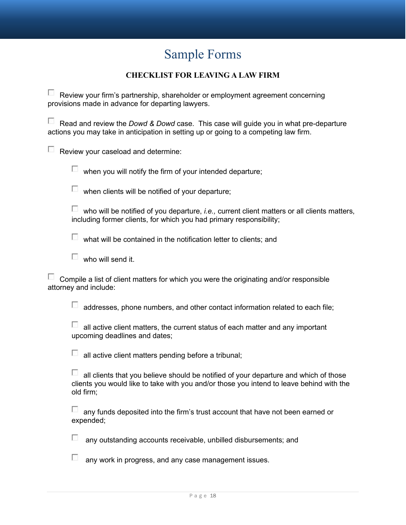# Sample Forms

# **CHECKLIST FOR LEAVING A LAW FIRM**

<span id="page-17-1"></span><span id="page-17-0"></span> $\Box$  Review your firm's partnership, shareholder or employment agreement concerning provisions made in advance for departing lawyers.

Read and review the *Dowd & Dowd* case. This case will guide you in what pre-departure actions you may take in anticipation in setting up or going to a competing law firm.

 $\Box$  Review your caseload and determine:

 $\Box$  when you will notify the firm of your intended departure;

 $\Box$  when clients will be notified of your departure;

who will be notified of you departure, *i.e.*, current client matters or all clients matters, including former clients, for which you had primary responsibility;

what will be contained in the notification letter to clients; and

 $\Box$  who will send it.

 $\Box$  Compile a list of client matters for which you were the originating and/or responsible attorney and include:

addresses, phone numbers, and other contact information related to each file;

 $\Box$  all active client matters, the current status of each matter and any important upcoming deadlines and dates;

all active client matters pending before a tribunal:

 $\Box$  all clients that you believe should be notified of your departure and which of those clients you would like to take with you and/or those you intend to leave behind with the old firm;

 $\Box$  any funds deposited into the firm's trust account that have not been earned or expended;

 $\Box$  any outstanding accounts receivable, unbilled disbursements; and

 $\Box$  any work in progress, and any case management issues.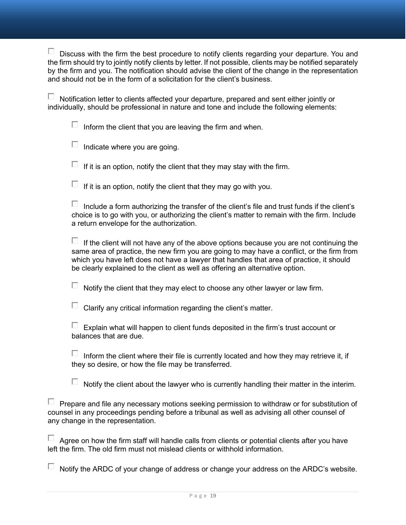Discuss with the firm the best procedure to notify clients regarding your departure. You and the firm should try to jointly notify clients by letter. If not possible, clients may be notified separately by the firm and you. The notification should advise the client of the change in the representation and should not be in the form of a solicitation for the client's business.

 $\overline{a}$ Notification letter to clients affected your departure, prepared and sent either jointly or individually, should be professional in nature and tone and include the following elements:

Inform the client that you are leaving the firm and when.

 $\Box$  Indicate where you are going.

If it is an option, notify the client that they may stay with the firm.

 $\Box$  If it is an option, notify the client that they may go with you.

Include a form authorizing the transfer of the client's file and trust funds if the client's choice is to go with you, or authorizing the client's matter to remain with the firm. Include a return envelope for the authorization.

 $\Box$  If the client will not have any of the above options because you are not continuing the same area of practice, the new firm you are going to may have a conflict, or the firm from which you have left does not have a lawyer that handles that area of practice, it should be clearly explained to the client as well as offering an alternative option.

 $\Box$  Notify the client that they may elect to choose any other lawyer or law firm.

Clarify any critical information regarding the client's matter.

Explain what will happen to client funds deposited in the firm's trust account or balances that are due.

Inform the client where their file is currently located and how they may retrieve it, if they so desire, or how the file may be transferred.

 $\Box$  Notify the client about the lawyer who is currently handling their matter in the interim.

 $\Box$  Prepare and file any necessary motions seeking permission to withdraw or for substitution of counsel in any proceedings pending before a tribunal as well as advising all other counsel of any change in the representation.

Agree on how the firm staff will handle calls from clients or potential clients after you have left the firm. The old firm must not mislead clients or withhold information.

 $\Box$  Notify the ARDC of your change of address or change your address on the ARDC's website.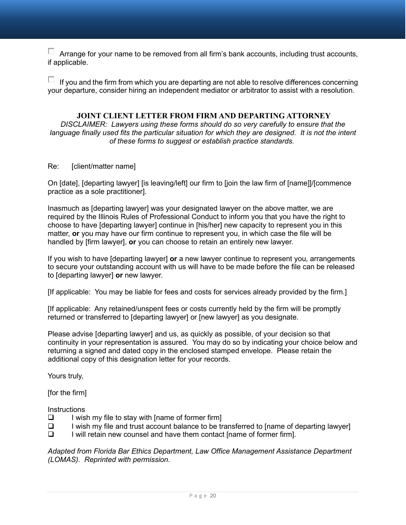$\Box$  Arrange for your name to be removed from all firm's bank accounts, including trust accounts, if applicable.

 $\Box$  If you and the firm from which you are departing are not able to resolve differences concerning your departure, consider hiring an independent mediator or arbitrator to assist with a resolution.

## <span id="page-19-0"></span>**JOINT CLIENT LETTER FROM FIRM AND DEPARTING ATTORNEY**

*DISCLAIMER: Lawyers using these forms should do so very carefully to ensure that the language finally used fits the particular situation for which they are designed. It is not the intent of these forms to suggest or establish practice standards.*

## Re: [client/matter name]

On [date], [departing lawyer] [is leaving/left] our firm to [join the law firm of [name]]/[commence practice as a sole practitioner].

Inasmuch as [departing lawyer] was your designated lawyer on the above matter, we are required by the Illinois Rules of Professional Conduct to inform you that you have the right to choose to have [departing lawyer] continue in [his/her] new capacity to represent you in this matter, **or** you may have our firm continue to represent you, in which case the file will be handled by [firm lawyer], **or** you can choose to retain an entirely new lawyer.

If you wish to have [departing lawyer] **or** a new lawyer continue to represent you, arrangements to secure your outstanding account with us will have to be made before the file can be released to [departing lawyer] **or** new lawyer.

[If applicable: You may be liable for fees and costs for services already provided by the firm.]

[If applicable: Any retained/unspent fees or costs currently held by the firm will be promptly returned or transferred to [departing lawyer] or [new lawyer] as you designate.

Please advise [departing lawyer] and us, as quickly as possible, of your decision so that continuity in your representation is assured. You may do so by indicating your choice below and returning a signed and dated copy in the enclosed stamped envelope. Please retain the additional copy of this designation letter for your records.

Yours truly,

[for the firm]

**Instructions** 

- $\Box$  I wish my file to stay with [name of former firm]
- $\Box$  I wish my file and trust account balance to be transferred to [name of departing lawyer]
- $\Box$  I will retain new counsel and have them contact [name of former firm].

*Adapted from Florida Bar Ethics Department, Law Office Management Assistance Department (LOMAS). Reprinted with permission.*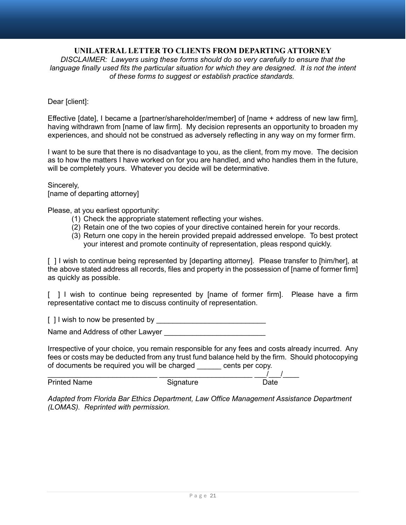# **UNILATERAL LETTER TO CLIENTS FROM DEPARTING ATTORNEY**

<span id="page-20-0"></span>*DISCLAIMER: Lawyers using these forms should do so very carefully to ensure that the language finally used fits the particular situation for which they are designed. It is not the intent of these forms to suggest or establish practice standards.*

## Dear [client]:

Effective [date], I became a [partner/shareholder/member] of [name + address of new law firm], having withdrawn from [name of law firm]. My decision represents an opportunity to broaden my experiences, and should not be construed as adversely reflecting in any way on my former firm.

I want to be sure that there is no disadvantage to you, as the client, from my move. The decision as to how the matters I have worked on for you are handled, and who handles them in the future, will be completely yours. Whatever you decide will be determinative.

Sincerely, [name of departing attorney]

Please, at you earliest opportunity:

- (1) Check the appropriate statement reflecting your wishes.
- (2) Retain one of the two copies of your directive contained herein for your records.
- (3) Return one copy in the herein provided prepaid addressed envelope. To best protect your interest and promote continuity of representation, pleas respond quickly.

[ ] I wish to continue being represented by [departing attorney]. Please transfer to [him/her], at the above stated address all records, files and property in the possession of [name of former firm] as quickly as possible.

[ ] I wish to continue being represented by [name of former firm]. Please have a firm representative contact me to discuss continuity of representation.

[ ] I wish to now be presented by \_\_\_\_\_\_\_\_\_\_\_\_\_\_\_\_\_\_\_\_\_\_\_\_\_\_\_

Name and Address of other Lawyer **Lawyer** 2001

Irrespective of your choice, you remain responsible for any fees and costs already incurred. Any fees or costs may be deducted from any trust fund balance held by the firm. Should photocopying

of documents be required you will be charged \_\_\_\_\_\_ cents per copy. \_\_\_\_\_\_\_\_\_\_\_\_\_\_\_\_\_\_\_\_\_\_\_\_\_\_\_ \_\_\_\_\_\_\_\_\_\_\_\_\_\_\_\_\_\_\_\_\_\_\_ \_\_\_/\_\_\_/\_\_\_\_ Printed Name Signature Date

*Adapted from Florida Bar Ethics Department, Law Office Management Assistance Department (LOMAS). Reprinted with permission.*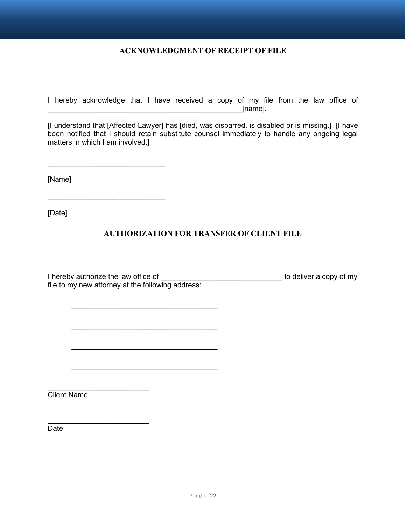## **ACKNOWLEDGMENT OF RECEIPT OF FILE**

<span id="page-21-0"></span>I hereby acknowledge that I have received a copy of my file from the law office of  $\Box$  [name].

[I understand that [Affected Lawyer] has [died, was disbarred, is disabled or is missing.] [I have been notified that I should retain substitute counsel immediately to handle any ongoing legal matters in which I am involved.]

[Name]

 $\_$ 

 $\_$ 

\_\_\_\_\_\_\_\_\_\_\_\_\_\_\_\_\_\_\_\_\_\_\_\_\_\_\_\_\_\_\_\_\_\_\_\_

\_\_\_\_\_\_\_\_\_\_\_\_\_\_\_\_\_\_\_\_\_\_\_\_\_\_\_\_\_\_\_\_\_\_\_\_

 $\mathcal{L}_\text{max}$  and  $\mathcal{L}_\text{max}$  and  $\mathcal{L}_\text{max}$  and  $\mathcal{L}_\text{max}$ 

 $\mathcal{L}_\text{max}$  and  $\mathcal{L}_\text{max}$  and  $\mathcal{L}_\text{max}$  and  $\mathcal{L}_\text{max}$ 

[Date]

# **AUTHORIZATION FOR TRANSFER OF CLIENT FILE**

I hereby authorize the law office of **we are all the control of the law** to deliver a copy of my file to my new attorney at the following address:

Client Name

 $\overline{\phantom{a}}$  , where  $\overline{\phantom{a}}$  , where  $\overline{\phantom{a}}$  , where  $\overline{\phantom{a}}$ 

 $\overline{\phantom{a}}$  , where  $\overline{\phantom{a}}$  , where  $\overline{\phantom{a}}$  , where  $\overline{\phantom{a}}$ 

Date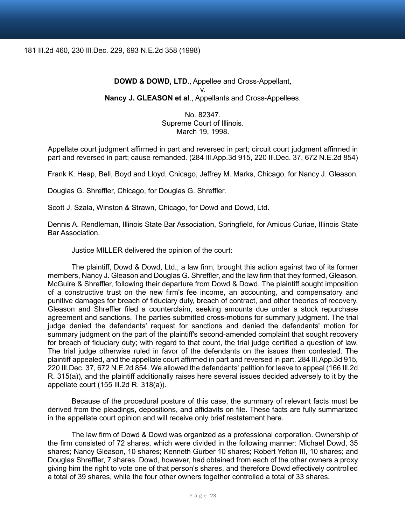# <span id="page-22-0"></span>**DOWD & DOWD, LTD**., Appellee and Cross-Appellant, v. **Nancy J. GLEASON et al**., Appellants and Cross-Appellees.

#### No. 82347. Supreme Court of Illinois. March 19, 1998.

Appellate court judgment affirmed in part and reversed in part; circuit court judgment affirmed in part and reversed in part; cause remanded. (284 Ill.App.3d 915, 220 Ill.Dec. 37, 672 N.E.2d 854)

Frank K. Heap, Bell, Boyd and Lloyd, Chicago, Jeffrey M. Marks, Chicago, for Nancy J. Gleason.

Douglas G. Shreffler, Chicago, for Douglas G. Shreffler.

Scott J. Szala, Winston & Strawn, Chicago, for Dowd and Dowd, Ltd.

Dennis A. Rendleman, Illinois State Bar Association, Springfield, for Amicus Curiae, Illinois State Bar Association.

Justice MILLER delivered the opinion of the court:

The plaintiff, Dowd & Dowd, Ltd., a law firm, brought this action against two of its former members, Nancy J. Gleason and Douglas G. Shreffler, and the law firm that they formed, Gleason, McGuire & Shreffler, following their departure from Dowd & Dowd. The plaintiff sought imposition of a constructive trust on the new firm's fee income, an accounting, and compensatory and punitive damages for breach of fiduciary duty, breach of contract, and other theories of recovery. Gleason and Shreffler filed a counterclaim, seeking amounts due under a stock repurchase agreement and sanctions. The parties submitted cross-motions for summary judgment. The trial judge denied the defendants' request for sanctions and denied the defendants' motion for summary judgment on the part of the plaintiff's second-amended complaint that sought recovery for breach of fiduciary duty; with regard to that count, the trial judge certified a question of law. The trial judge otherwise ruled in favor of the defendants on the issues then contested. The plaintiff appealed, and the appellate court affirmed in part and reversed in part. 284 Ill.App.3d 915, 220 Ill.Dec. 37, 672 N.E.2d 854. We allowed the defendants' petition for leave to appeal (166 Ill.2d R. 315(a)), and the plaintiff additionally raises here several issues decided adversely to it by the appellate court (155 Ill.2d R. 318(a)).

Because of the procedural posture of this case, the summary of relevant facts must be derived from the pleadings, depositions, and affidavits on file. These facts are fully summarized in the appellate court opinion and will receive only brief restatement here.

The law firm of Dowd & Dowd was organized as a professional corporation. Ownership of the firm consisted of 72 shares, which were divided in the following manner: Michael Dowd, 35 shares; Nancy Gleason, 10 shares; Kenneth Gurber 10 shares; Robert Yelton III, 10 shares; and Douglas Shreffler, 7 shares. Dowd, however, had obtained from each of the other owners a proxy giving him the right to vote one of that person's shares, and therefore Dowd effectively controlled a total of 39 shares, while the four other owners together controlled a total of 33 shares.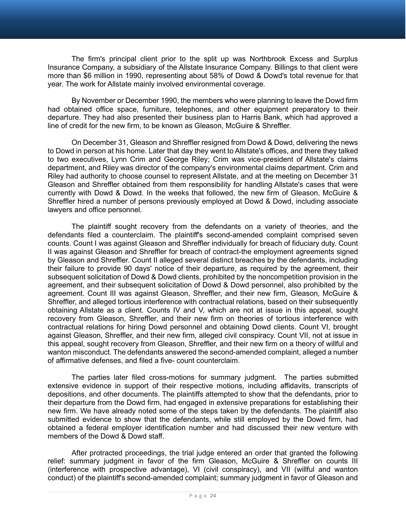The firm's principal client prior to the split up was Northbrook Excess and Surplus Insurance Company, a subsidiary of the Allstate Insurance Company. Billings to that client were more than \$6 million in 1990, representing about 58% of Dowd & Dowd's total revenue for that year. The work for Allstate mainly involved environmental coverage.

By November or December 1990, the members who were planning to leave the Dowd firm had obtained office space, furniture, telephones, and other equipment preparatory to their departure. They had also presented their business plan to Harris Bank, which had approved a line of credit for the new firm, to be known as Gleason, McGuire & Shreffler.

On December 31, Gleason and Shreffler resigned from Dowd & Dowd, delivering the news to Dowd in person at his home. Later that day they went to Allstate's offices, and there they talked to two executives, Lynn Crim and George Riley; Crim was vice-president of Allstate's claims department, and Riley was director of the company's environmental claims department. Crim and Riley had authority to choose counsel to represent Allstate, and at the meeting on December 31 Gleason and Shreffler obtained from them responsibility for handling Allstate's cases that were currently with Dowd & Dowd. In the weeks that followed, the new firm of Gleason, McGuire & Shreffler hired a number of persons previously employed at Dowd & Dowd, including associate lawyers and office personnel.

The plaintiff sought recovery from the defendants on a variety of theories, and the defendants filed a counterclaim. The plaintiff's second-amended complaint comprised seven counts. Count I was against Gleason and Shreffler individually for breach of fiduciary duty. Count II was against Gleason and Shreffler for breach of contract-the employment agreements signed by Gleason and Shreffler. Count II alleged several distinct breaches by the defendants, including their failure to provide 90 days' notice of their departure, as required by the agreement, their subsequent solicitation of Dowd & Dowd clients, prohibited by the noncompetition provision in the agreement, and their subsequent solicitation of Dowd & Dowd personnel, also prohibited by the agreement. Count III was against Gleason, Shreffler, and their new firm, Gleason, McGuire & Shreffler, and alleged tortious interference with contractual relations, based on their subsequently obtaining Allstate as a client. Counts IV and V, which are not at issue in this appeal, sought recovery from Gleason, Shreffler, and their new firm on theories of tortious interference with contractual relations for hiring Dowd personnel and obtaining Dowd clients. Count VI, brought against Gleason, Shreffler, and their new firm, alleged civil conspiracy. Count VII, not at issue in this appeal, sought recovery from Gleason, Shreffler, and their new firm on a theory of willful and wanton misconduct. The defendants answered the second-amended complaint, alleged a number of affirmative defenses, and filed a five- count counterclaim.

The parties later filed cross-motions for summary judgment. The parties submitted extensive evidence in support of their respective motions, including affidavits, transcripts of depositions, and other documents. The plaintiffs attempted to show that the defendants, prior to their departure from the Dowd firm, had engaged in extensive preparations for establishing their new firm. We have already noted some of the steps taken by the defendants. The plaintiff also submitted evidence to show that the defendants, while still employed by the Dowd firm, had obtained a federal employer identification number and had discussed their new venture with members of the Dowd & Dowd staff.

After protracted proceedings, the trial judge entered an order that granted the following relief: summary judgment in favor of the firm Gleason, McGuire & Shreffler on counts III (interference with prospective advantage), VI (civil conspiracy), and VII (willful and wanton conduct) of the plaintiff's second-amended complaint; summary judgment in favor of Gleason and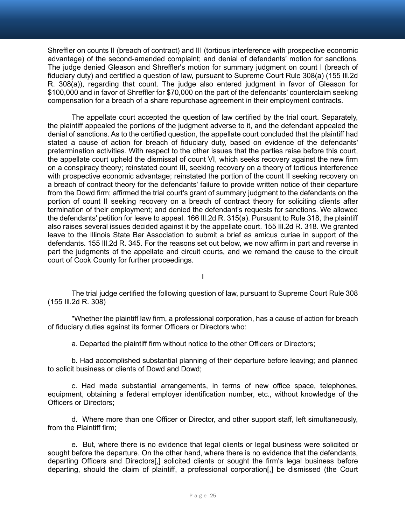Shreffler on counts II (breach of contract) and III (tortious interference with prospective economic advantage) of the second-amended complaint; and denial of defendants' motion for sanctions. The judge denied Gleason and Shreffler's motion for summary judgment on count I (breach of fiduciary duty) and certified a question of law, pursuant to Supreme Court Rule 308(a) (155 Ill.2d R. 308(a)), regarding that count. The judge also entered judgment in favor of Gleason for \$100,000 and in favor of Shreffler for \$70,000 on the part of the defendants' counterclaim seeking compensation for a breach of a share repurchase agreement in their employment contracts.

The appellate court accepted the question of law certified by the trial court. Separately, the plaintiff appealed the portions of the judgment adverse to it, and the defendant appealed the denial of sanctions. As to the certified question, the appellate court concluded that the plaintiff had stated a cause of action for breach of fiduciary duty, based on evidence of the defendants' pretermination activities. With respect to the other issues that the parties raise before this court, the appellate court upheld the dismissal of count VI, which seeks recovery against the new firm on a conspiracy theory; reinstated count III, seeking recovery on a theory of tortious interference with prospective economic advantage; reinstated the portion of the count II seeking recovery on a breach of contract theory for the defendants' failure to provide written notice of their departure from the Dowd firm; affirmed the trial court's grant of summary judgment to the defendants on the portion of count II seeking recovery on a breach of contract theory for soliciting clients after termination of their employment; and denied the defendant's requests for sanctions. We allowed the defendants' petition for leave to appeal. 166 Ill.2d R. 315(a). Pursuant to Rule 318, the plaintiff also raises several issues decided against it by the appellate court. 155 Ill.2d R. 318. We granted leave to the Illinois State Bar Association to submit a brief as amicus curiae in support of the defendants. 155 Ill.2d R. 345. For the reasons set out below, we now affirm in part and reverse in part the judgments of the appellate and circuit courts, and we remand the cause to the circuit court of Cook County for further proceedings.

I

The trial judge certified the following question of law, pursuant to Supreme Court Rule 308 (155 Ill.2d R. 308)

"Whether the plaintiff law firm, a professional corporation, has a cause of action for breach of fiduciary duties against its former Officers or Directors who:

a. Departed the plaintiff firm without notice to the other Officers or Directors;

b. Had accomplished substantial planning of their departure before leaving; and planned to solicit business or clients of Dowd and Dowd;

c. Had made substantial arrangements, in terms of new office space, telephones, equipment, obtaining a federal employer identification number, etc., without knowledge of the Officers or Directors;

d. Where more than one Officer or Director, and other support staff, left simultaneously, from the Plaintiff firm;

e. But, where there is no evidence that legal clients or legal business were solicited or sought before the departure. On the other hand, where there is no evidence that the defendants, departing Officers and Directors[,] solicited clients or sought the firm's legal business before departing, should the claim of plaintiff, a professional corporation[,] be dismissed (the Court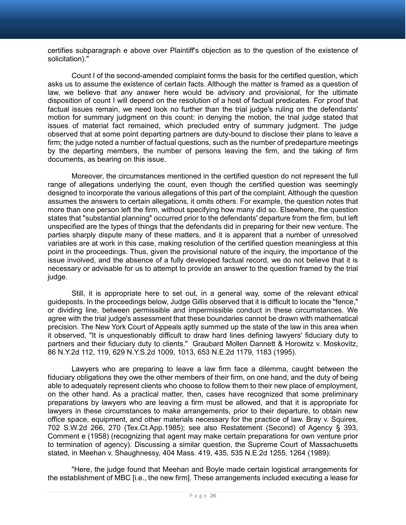certifies subparagraph e above over Plaintiff's objection as to the question of the existence of solicitation)."

Count I of the second-amended complaint forms the basis for the certified question, which asks us to assume the existence of certain facts. Although the matter is framed as a question of law, we believe that any answer here would be advisory and provisional, for the ultimate disposition of count I will depend on the resolution of a host of factual predicates. For proof that factual issues remain, we need look no further than the trial judge's ruling on the defendants' motion for summary judgment on this count: in denying the motion, the trial judge stated that issues of material fact remained, which precluded entry of summary judgment. The judge observed that at some point departing partners are duty-bound to disclose their plans to leave a firm; the judge noted a number of factual questions, such as the number of predeparture meetings by the departing members, the number of persons leaving the firm, and the taking of firm documents, as bearing on this issue.

Moreover, the circumstances mentioned in the certified question do not represent the full range of allegations underlying the count, even though the certified question was seemingly designed to incorporate the various allegations of this part of the complaint. Although the question assumes the answers to certain allegations, it omits others. For example, the question notes that more than one person left the firm, without specifying how many did so. Elsewhere, the question states that "substantial planning" occurred prior to the defendants' departure from the firm, but left unspecified are the types of things that the defendants did in preparing for their new venture. The parties sharply dispute many of these matters, and it is apparent that a number of unresolved variables are at work in this case, making resolution of the certified question meaningless at this point in the proceedings. Thus, given the provisional nature of the inquiry, the importance of the issue involved, and the absence of a fully developed factual record, we do not believe that it is necessary or advisable for us to attempt to provide an answer to the question framed by the trial judge.

Still, it is appropriate here to set out, in a general way, some of the relevant ethical guideposts. In the proceedings below, Judge Gillis observed that it is difficult to locate the "fence," or dividing line, between permissible and impermissible conduct in these circumstances. We agree with the trial judge's assessment that these boundaries cannot be drawn with mathematical precision. The New York Court of Appeals aptly summed up the state of the law in this area when it observed, "It is unquestionably difficult to draw hard lines defining lawyers' fiduciary duty to partners and their fiduciary duty to clients." Graubard Mollen Dannett & Horowitz v. Moskovitz, 86 N.Y.2d 112, 119, 629 N.Y.S.2d 1009, 1013, 653 N.E.2d 1179, 1183 (1995).

Lawyers who are preparing to leave a law firm face a dilemma, caught between the fiduciary obligations they owe the other members of their firm, on one hand, and the duty of being able to adequately represent clients who choose to follow them to their new place of employment, on the other hand. As a practical matter, then, cases have recognized that some preliminary preparations by lawyers who are leaving a firm must be allowed, and that it is appropriate for lawyers in these circumstances to make arrangements, prior to their departure, to obtain new office space, equipment, and other materials necessary for the practice of law. Bray v. Squires, 702 S.W.2d 266, 270 (Tex.Ct.App.1985); see also Restatement (Second) of Agency § 393, Comment e (1958) (recognizing that agent may make certain preparations for own venture prior to termination of agency). Discussing a similar question, the Supreme Court of Massachusetts stated, in Meehan v. Shaughnessy, 404 Mass. 419, 435, 535 N.E.2d 1255, 1264 (1989):

"Here, the judge found that Meehan and Boyle made certain logistical arrangements for the establishment of MBC [i.e., the new firm]. These arrangements included executing a lease for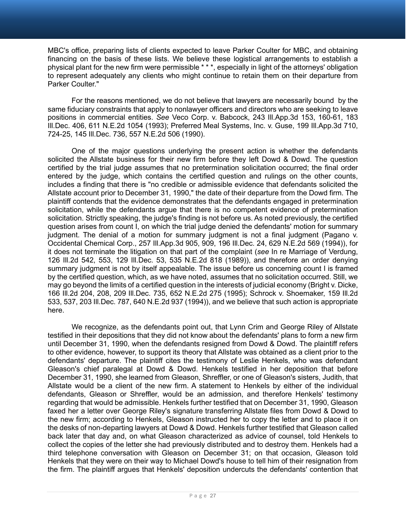MBC's office, preparing lists of clients expected to leave Parker Coulter for MBC, and obtaining financing on the basis of these lists. We believe these logistical arrangements to establish a physical plant for the new firm were permissible \* \* \*, especially in light of the attorneys' obligation to represent adequately any clients who might continue to retain them on their departure from Parker Coulter."

For the reasons mentioned, we do not believe that lawyers are necessarily bound by the same fiduciary constraints that apply to nonlawyer officers and directors who are seeking to leave positions in commercial entities. *See* Veco Corp. v. Babcock, 243 Ill.App.3d 153, 160-61, 183 Ill.Dec. 406, 611 N.E.2d 1054 (1993); Preferred Meal Systems, Inc. v. Guse, 199 Ill.App.3d 710, 724-25, 145 Ill.Dec. 736, 557 N.E.2d 506 (1990).

One of the major questions underlying the present action is whether the defendants solicited the Allstate business for their new firm before they left Dowd & Dowd. The question certified by the trial judge assumes that no pretermination solicitation occurred; the final order entered by the judge, which contains the certified question and rulings on the other counts, includes a finding that there is "no credible or admissible evidence that defendants solicited the Allstate account prior to December 31, 1990," the date of their departure from the Dowd firm. The plaintiff contends that the evidence demonstrates that the defendants engaged in pretermination solicitation, while the defendants argue that there is no competent evidence of pretermination solicitation. Strictly speaking, the judge's finding is not before us. As noted previously, the certified question arises from count I, on which the trial judge denied the defendants' motion for summary judgment. The denial of a motion for summary judgment is not a final judgment (Pagano v. Occidental Chemical Corp., 257 Ill.App.3d 905, 909, 196 Ill.Dec. 24, 629 N.E.2d 569 (1994)), for it does not terminate the litigation on that part of the complaint (*see* In re Marriage of Verdung, 126 Ill.2d 542, 553, 129 Ill.Dec. 53, 535 N.E.2d 818 (1989)), and therefore an order denying summary judgment is not by itself appealable. The issue before us concerning count I is framed by the certified question, which, as we have noted, assumes that no solicitation occurred. Still, we may go beyond the limits of a certified question in the interests of judicial economy (Bright v. Dicke, 166 Ill.2d 204, 208, 209 Ill.Dec. 735, 652 N.E.2d 275 (1995); Schrock v. Shoemaker, 159 Ill.2d 533, 537, 203 Ill.Dec. 787, 640 N.E.2d 937 (1994)), and we believe that such action is appropriate here.

We recognize, as the defendants point out, that Lynn Crim and George Riley of Allstate testified in their depositions that they did not know about the defendants' plans to form a new firm until December 31, 1990, when the defendants resigned from Dowd & Dowd. The plaintiff refers to other evidence, however, to support its theory that Allstate was obtained as a client prior to the defendants' departure. The plaintiff cites the testimony of Leslie Henkels, who was defendant Gleason's chief paralegal at Dowd & Dowd. Henkels testified in her deposition that before December 31, 1990, she learned from Gleason, Shreffler, or one of Gleason's sisters, Judith, that Allstate would be a client of the new firm. A statement to Henkels by either of the individual defendants, Gleason or Shreffler, would be an admission, and therefore Henkels' testimony regarding that would be admissible. Henkels further testified that on December 31, 1990, Gleason faxed her a letter over George Riley's signature transferring Allstate files from Dowd & Dowd to the new firm; according to Henkels, Gleason instructed her to copy the letter and to place it on the desks of non-departing lawyers at Dowd & Dowd. Henkels further testified that Gleason called back later that day and, on what Gleason characterized as advice of counsel, told Henkels to collect the copies of the letter she had previously distributed and to destroy them. Henkels had a third telephone conversation with Gleason on December 31; on that occasion, Gleason told Henkels that they were on their way to Michael Dowd's house to tell him of their resignation from the firm. The plaintiff argues that Henkels' deposition undercuts the defendants' contention that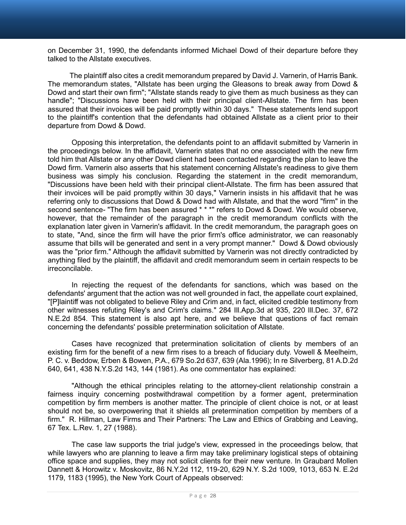on December 31, 1990, the defendants informed Michael Dowd of their departure before they talked to the Allstate executives.

The plaintiff also cites a credit memorandum prepared by David J. Varnerin, of Harris Bank. The memorandum states, "Allstate has been urging the Gleasons to break away from Dowd & Dowd and start their own firm"; "Allstate stands ready to give them as much business as they can handle"; "Discussions have been held with their principal client-Allstate. The firm has been assured that their invoices will be paid promptly within 30 days." These statements lend support to the plaintiff's contention that the defendants had obtained Allstate as a client prior to their departure from Dowd & Dowd.

Opposing this interpretation, the defendants point to an affidavit submitted by Varnerin in the proceedings below. In the affidavit, Varnerin states that no one associated with the new firm told him that Allstate or any other Dowd client had been contacted regarding the plan to leave the Dowd firm. Varnerin also asserts that his statement concerning Allstate's readiness to give them business was simply his conclusion. Regarding the statement in the credit memorandum, "Discussions have been held with their principal client-Allstate. The firm has been assured that their invoices will be paid promptly within 30 days," Varnerin insists in his affidavit that he was referring only to discussions that Dowd & Dowd had with Allstate, and that the word "firm" in the second sentence- "The firm has been assured \* \* \*" refers to Dowd & Dowd. We would observe, however, that the remainder of the paragraph in the credit memorandum conflicts with the explanation later given in Varnerin's affidavit. In the credit memorandum, the paragraph goes on to state, "And, since the firm will have the prior firm's office administrator, we can reasonably assume that bills will be generated and sent in a very prompt manner." Dowd & Dowd obviously was the "prior firm." Although the affidavit submitted by Varnerin was not directly contradicted by anything filed by the plaintiff, the affidavit and credit memorandum seem in certain respects to be irreconcilable.

In rejecting the request of the defendants for sanctions, which was based on the defendants' argument that the action was not well grounded in fact, the appellate court explained, "[P]laintiff was not obligated to believe Riley and Crim and, in fact, elicited credible testimony from other witnesses refuting Riley's and Crim's claims." 284 Ill.App.3d at 935, 220 Ill.Dec. 37, 672 N.E.2d 854. This statement is also apt here, and we believe that questions of fact remain concerning the defendants' possible pretermination solicitation of Allstate.

Cases have recognized that pretermination solicitation of clients by members of an existing firm for the benefit of a new firm rises to a breach of fiduciary duty. Vowell & Meelheim, P. C. v. Beddow, Erben & Bowen, P.A., 679 So.2d 637, 639 (Ala.1996); In re Silverberg, 81 A.D.2d 640, 641, 438 N.Y.S.2d 143, 144 (1981). As one commentator has explained:

"Although the ethical principles relating to the attorney-client relationship constrain a fairness inquiry concerning postwithdrawal competition by a former agent, pretermination competition by firm members is another matter. The principle of client choice is not, or at least should not be, so overpowering that it shields all pretermination competition by members of a firm." R. Hillman, Law Firms and Their Partners: The Law and Ethics of Grabbing and Leaving, 67 Tex. L.Rev. 1, 27 (1988).

The case law supports the trial judge's view, expressed in the proceedings below, that while lawyers who are planning to leave a firm may take preliminary logistical steps of obtaining office space and supplies, they may not solicit clients for their new venture. In Graubard Mollen Dannett & Horowitz v. Moskovitz, 86 N.Y.2d 112, 119-20, 629 N.Y. S.2d 1009, 1013, 653 N. E.2d 1179, 1183 (1995), the New York Court of Appeals observed: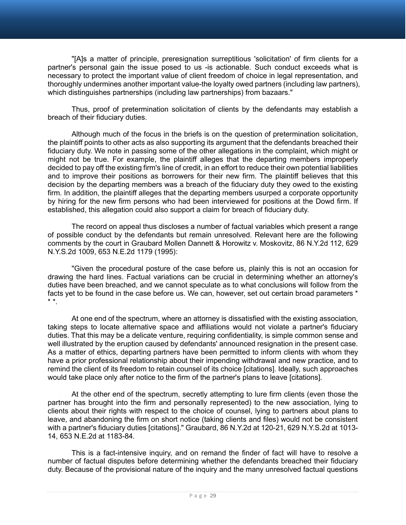"[A]s a matter of principle, preresignation surreptitious 'solicitation' of firm clients for a partner's personal gain the issue posed to us -is actionable. Such conduct exceeds what is necessary to protect the important value of client freedom of choice in legal representation, and thoroughly undermines another important value-the loyalty owed partners (including law partners), which distinguishes partnerships (including law partnerships) from bazaars."

Thus, proof of pretermination solicitation of clients by the defendants may establish a breach of their fiduciary duties.

Although much of the focus in the briefs is on the question of pretermination solicitation, the plaintiff points to other acts as also supporting its argument that the defendants breached their fiduciary duty. We note in passing some of the other allegations in the complaint, which might or might not be true. For example, the plaintiff alleges that the departing members improperly decided to pay off the existing firm's line of credit, in an effort to reduce their own potential liabilities and to improve their positions as borrowers for their new firm. The plaintiff believes that this decision by the departing members was a breach of the fiduciary duty they owed to the existing firm. In addition, the plaintiff alleges that the departing members usurped a corporate opportunity by hiring for the new firm persons who had been interviewed for positions at the Dowd firm. If established, this allegation could also support a claim for breach of fiduciary duty.

The record on appeal thus discloses a number of factual variables which present a range of possible conduct by the defendants but remain unresolved. Relevant here are the following comments by the court in Graubard Mollen Dannett & Horowitz v. Moskovitz, 86 N.Y.2d 112, 629 N.Y.S.2d 1009, 653 N.E.2d 1179 (1995):

"Given the procedural posture of the case before us, plainly this is not an occasion for drawing the hard lines. Factual variations can be crucial in determining whether an attorney's duties have been breached, and we cannot speculate as to what conclusions will follow from the facts yet to be found in the case before us. We can, however, set out certain broad parameters \* \* \*.

At one end of the spectrum, where an attorney is dissatisfied with the existing association, taking steps to locate alternative space and affiliations would not violate a partner's fiduciary duties. That this may be a delicate venture, requiring confidentiality, is simple common sense and well illustrated by the eruption caused by defendants' announced resignation in the present case. As a matter of ethics, departing partners have been permitted to inform clients with whom they have a prior professional relationship about their impending withdrawal and new practice, and to remind the client of its freedom to retain counsel of its choice [citations]. Ideally, such approaches would take place only after notice to the firm of the partner's plans to leave [citations].

At the other end of the spectrum, secretly attempting to lure firm clients (even those the partner has brought into the firm and personally represented) to the new association, lying to clients about their rights with respect to the choice of counsel, lying to partners about plans to leave, and abandoning the firm on short notice (taking clients and files) would not be consistent with a partner's fiduciary duties [citations]." Graubard, 86 N.Y.2d at 120-21, 629 N.Y.S.2d at 1013- 14, 653 N.E.2d at 1183-84.

This is a fact-intensive inquiry, and on remand the finder of fact will have to resolve a number of factual disputes before determining whether the defendants breached their fiduciary duty. Because of the provisional nature of the inquiry and the many unresolved factual questions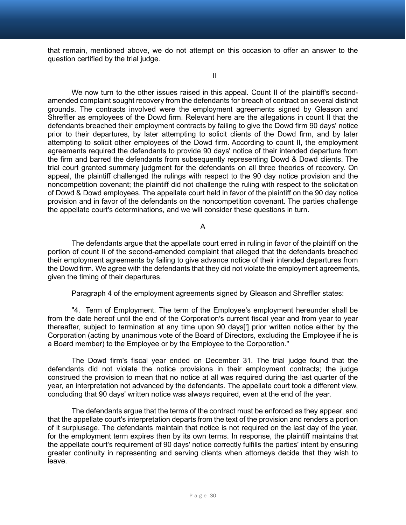that remain, mentioned above, we do not attempt on this occasion to offer an answer to the question certified by the trial judge.

II

We now turn to the other issues raised in this appeal. Count II of the plaintiff's secondamended complaint sought recovery from the defendants for breach of contract on several distinct grounds. The contracts involved were the employment agreements signed by Gleason and Shreffler as employees of the Dowd firm. Relevant here are the allegations in count II that the defendants breached their employment contracts by failing to give the Dowd firm 90 days' notice prior to their departures, by later attempting to solicit clients of the Dowd firm, and by later attempting to solicit other employees of the Dowd firm. According to count II, the employment agreements required the defendants to provide 90 days' notice of their intended departure from the firm and barred the defendants from subsequently representing Dowd & Dowd clients. The trial court granted summary judgment for the defendants on all three theories of recovery. On appeal, the plaintiff challenged the rulings with respect to the 90 day notice provision and the noncompetition covenant; the plaintiff did not challenge the ruling with respect to the solicitation of Dowd & Dowd employees. The appellate court held in favor of the plaintiff on the 90 day notice provision and in favor of the defendants on the noncompetition covenant. The parties challenge the appellate court's determinations, and we will consider these questions in turn.

## A

The defendants argue that the appellate court erred in ruling in favor of the plaintiff on the portion of count II of the second-amended complaint that alleged that the defendants breached their employment agreements by failing to give advance notice of their intended departures from the Dowd firm. We agree with the defendants that they did not violate the employment agreements, given the timing of their departures.

Paragraph 4 of the employment agreements signed by Gleason and Shreffler states:

"4. Term of Employment. The term of the Employee's employment hereunder shall be from the date hereof until the end of the Corporation's current fiscal year and from year to year thereafter, subject to termination at any time upon 90 days['] prior written notice either by the Corporation (acting by unanimous vote of the Board of Directors, excluding the Employee if he is a Board member) to the Employee or by the Employee to the Corporation."

The Dowd firm's fiscal year ended on December 31. The trial judge found that the defendants did not violate the notice provisions in their employment contracts; the judge construed the provision to mean that no notice at all was required during the last quarter of the year, an interpretation not advanced by the defendants. The appellate court took a different view, concluding that 90 days' written notice was always required, even at the end of the year.

The defendants argue that the terms of the contract must be enforced as they appear, and that the appellate court's interpretation departs from the text of the provision and renders a portion of it surplusage. The defendants maintain that notice is not required on the last day of the year, for the employment term expires then by its own terms. In response, the plaintiff maintains that the appellate court's requirement of 90 days' notice correctly fulfills the parties' intent by ensuring greater continuity in representing and serving clients when attorneys decide that they wish to leave.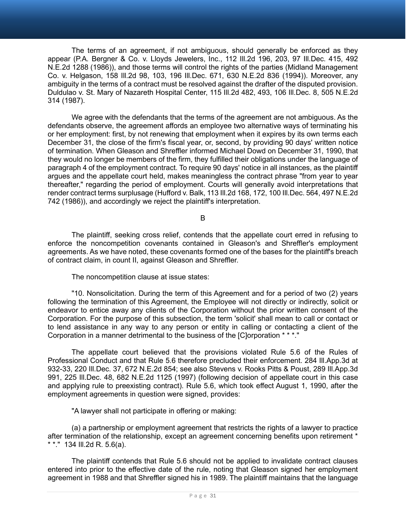The terms of an agreement, if not ambiguous, should generally be enforced as they appear (P.A. Bergner & Co. v. Lloyds Jewelers, Inc., 112 Ill.2d 196, 203, 97 Ill.Dec. 415, 492 N.E.2d 1288 (1986)), and those terms will control the rights of the parties (Midland Management Co. v. Helgason, 158 Ill.2d 98, 103, 196 Ill.Dec. 671, 630 N.E.2d 836 (1994)). Moreover, any ambiguity in the terms of a contract must be resolved against the drafter of the disputed provision. Duldulao v. St. Mary of Nazareth Hospital Center, 115 Ill.2d 482, 493, 106 Ill.Dec. 8, 505 N.E.2d 314 (1987).

We agree with the defendants that the terms of the agreement are not ambiguous. As the defendants observe, the agreement affords an employee two alternative ways of terminating his or her employment: first, by not renewing that employment when it expires by its own terms each December 31, the close of the firm's fiscal year, or, second, by providing 90 days' written notice of termination. When Gleason and Shreffler informed Michael Dowd on December 31, 1990, that they would no longer be members of the firm, they fulfilled their obligations under the language of paragraph 4 of the employment contract. To require 90 days' notice in all instances, as the plaintiff argues and the appellate court held, makes meaningless the contract phrase "from year to year thereafter," regarding the period of employment. Courts will generally avoid interpretations that render contract terms surplusage (Hufford v. Balk, 113 Ill.2d 168, 172, 100 Ill.Dec. 564, 497 N.E.2d 742 (1986)), and accordingly we reject the plaintiff's interpretation.

B

The plaintiff, seeking cross relief, contends that the appellate court erred in refusing to enforce the noncompetition covenants contained in Gleason's and Shreffler's employment agreements. As we have noted, these covenants formed one of the bases for the plaintiff's breach of contract claim, in count II, against Gleason and Shreffler.

The noncompetition clause at issue states:

"10. Nonsolicitation. During the term of this Agreement and for a period of two (2) years following the termination of this Agreement, the Employee will not directly or indirectly, solicit or endeavor to entice away any clients of the Corporation without the prior written consent of the Corporation. For the purpose of this subsection, the term 'solicit' shall mean to call or contact or to lend assistance in any way to any person or entity in calling or contacting a client of the Corporation in a manner detrimental to the business of the [C]orporation \* \* \*."

The appellate court believed that the provisions violated Rule 5.6 of the Rules of Professional Conduct and that Rule 5.6 therefore precluded their enforcement. 284 Ill.App.3d at 932-33, 220 Ill.Dec. 37, 672 N.E.2d 854; see also Stevens v. Rooks Pitts & Poust, 289 Ill.App.3d 991, 225 Ill.Dec. 48, 682 N.E.2d 1125 (1997) (following decision of appellate court in this case and applying rule to preexisting contract). Rule 5.6, which took effect August 1, 1990, after the employment agreements in question were signed, provides:

"A lawyer shall not participate in offering or making:

(a) a partnership or employment agreement that restricts the rights of a lawyer to practice after termination of the relationship, except an agreement concerning benefits upon retirement \* \* \*." 134 Ill.2d R. 5.6(a).

The plaintiff contends that Rule 5.6 should not be applied to invalidate contract clauses entered into prior to the effective date of the rule, noting that Gleason signed her employment agreement in 1988 and that Shreffler signed his in 1989. The plaintiff maintains that the language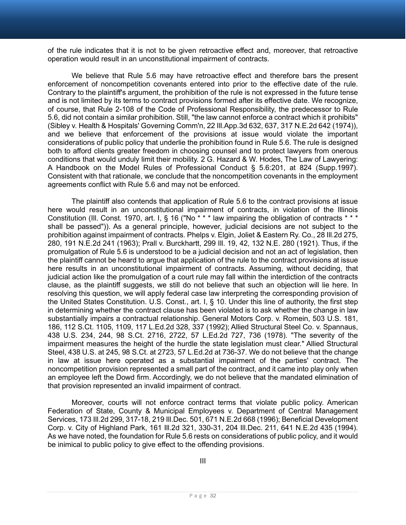of the rule indicates that it is not to be given retroactive effect and, moreover, that retroactive operation would result in an unconstitutional impairment of contracts.

We believe that Rule 5.6 may have retroactive effect and therefore bars the present enforcement of noncompetition covenants entered into prior to the effective date of the rule. Contrary to the plaintiff's argument, the prohibition of the rule is not expressed in the future tense and is not limited by its terms to contract provisions formed after its effective date. We recognize, of course, that Rule 2-108 of the Code of Professional Responsibility, the predecessor to Rule 5.6, did not contain a similar prohibition. Still, "the law cannot enforce a contract which it prohibits" (Sibley v. Health & Hospitals' Governing Comm'n, 22 Ill.App.3d 632, 637, 317 N.E.2d 642 (1974)), and we believe that enforcement of the provisions at issue would violate the important considerations of public policy that underlie the prohibition found in Rule 5.6. The rule is designed both to afford clients greater freedom in choosing counsel and to protect lawyers from onerous conditions that would unduly limit their mobility. 2 G. Hazard & W. Hodes, The Law of Lawyering: A Handbook on the Model Rules of Professional Conduct § 5.6:201, at 824 (Supp.1997). Consistent with that rationale, we conclude that the noncompetition covenants in the employment agreements conflict with Rule 5.6 and may not be enforced.

The plaintiff also contends that application of Rule 5.6 to the contract provisions at issue here would result in an unconstitutional impairment of contracts, in violation of the Illinois Constitution (III. Const. 1970, art. I, § 16 ("No \* \* \* law impairing the obligation of contracts \* \* \* shall be passed")). As a general principle, however, judicial decisions are not subject to the prohibition against impairment of contracts. Phelps v. Elgin, Joliet & Eastern Ry. Co., 28 Ill.2d 275, 280, 191 N.E.2d 241 (1963); Prall v. Burckhartt, 299 Ill. 19, 42, 132 N.E. 280 (1921). Thus, if the promulgation of Rule 5.6 is understood to be a judicial decision and not an act of legislation, then the plaintiff cannot be heard to argue that application of the rule to the contract provisions at issue here results in an unconstitutional impairment of contracts. Assuming, without deciding, that judicial action like the promulgation of a court rule may fall within the interdiction of the contracts clause, as the plaintiff suggests, we still do not believe that such an objection will lie here. In resolving this question, we will apply federal case law interpreting the corresponding provision of the United States Constitution. U.S. Const., art. I, § 10. Under this line of authority, the first step in determining whether the contract clause has been violated is to ask whether the change in law substantially impairs a contractual relationship. General Motors Corp. v. Romein, 503 U.S. 181, 186, 112 S.Ct. 1105, 1109, 117 L.Ed.2d 328, 337 (1992); Allied Structural Steel Co. v. Spannaus, 438 U.S. 234, 244, 98 S.Ct. 2716, 2722, 57 L.Ed.2d 727, 736 (1978). "The severity of the impairment measures the height of the hurdle the state legislation must clear." Allied Structural Steel, 438 U.S. at 245, 98 S.Ct. at 2723, 57 L.Ed.2d at 736-37. We do not believe that the change in law at issue here operated as a substantial impairment of the parties' contract. The noncompetition provision represented a small part of the contract, and it came into play only when an employee left the Dowd firm. Accordingly, we do not believe that the mandated elimination of that provision represented an invalid impairment of contract.

Moreover, courts will not enforce contract terms that violate public policy. American Federation of State, County & Municipal Employees v. Department of Central Management Services, 173 Ill.2d 299, 317-18, 219 Ill.Dec. 501, 671 N.E.2d 668 (1996); Beneficial Development Corp. v. City of Highland Park, 161 Ill.2d 321, 330-31, 204 Ill.Dec. 211, 641 N.E.2d 435 (1994). As we have noted, the foundation for Rule 5.6 rests on considerations of public policy, and it would be inimical to public policy to give effect to the offending provisions.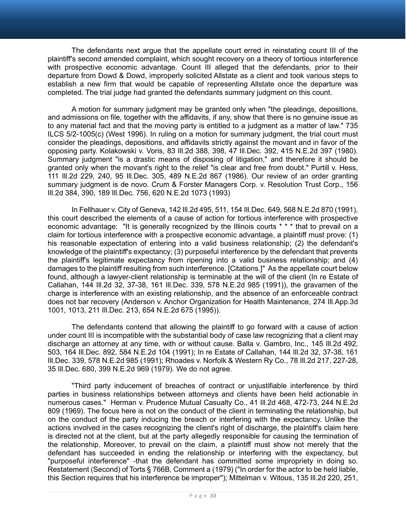The defendants next argue that the appellate court erred in reinstating count III of the plaintiff's second amended complaint, which sought recovery on a theory of tortious interference with prospective economic advantage. Count III alleged that the defendants, prior to their departure from Dowd & Dowd, improperly solicited Allstate as a client and took various steps to establish a new firm that would be capable of representing Allstate once the departure was completed. The trial judge had granted the defendants summary judgment on this count.

A motion for summary judgment may be granted only when "the pleadings, depositions, and admissions on file, together with the affidavits, if any, show that there is no genuine issue as to any material fact and that the moving party is entitled to a judgment as a matter of law." 735 ILCS 5/2-1005(c) (West 1996). In ruling on a motion for summary judgment, the trial court must consider the pleadings, depositions, and affidavits strictly against the movant and in favor of the opposing party. Kolakowski v. Voris, 83 Ill.2d 388, 398, 47 Ill.Dec. 392, 415 N.E.2d 397 (1980). Summary judgment "is a drastic means of disposing of litigation," and therefore it should be granted only when the movant's right to the relief "is clear and free from doubt." Purtill v. Hess, 111 Ill.2d 229, 240, 95 Ill.Dec. 305, 489 N.E.2d 867 (1986). Our review of an order granting summary judgment is de novo. Crum & Forster Managers Corp. v. Resolution Trust Corp., 156 Ill.2d 384, 390, 189 Ill.Dec. 756, 620 N.E.2d 1073 (1993)

In Fellhauer v. City of Geneva, 142 Ill.2d 495, 511, 154 Ill.Dec. 649, 568 N.E.2d 870 (1991), this court described the elements of a cause of action for tortious interference with prospective economic advantage: "It is generally recognized by the Illinois courts \* \* \* that to prevail on a claim for tortious interference with a prospective economic advantage, a plaintiff must prove: (1) his reasonable expectation of entering into a valid business relationship; (2) the defendant's knowledge of the plaintiff's expectancy; (3) purposeful interference by the defendant that prevents the plaintiff's legitimate expectancy from ripening into a valid business relationship; and (4) damages to the plaintiff resulting from such interference. [Citations.]" As the appellate court below found, although a lawyer-client relationship is terminable at the will of the client (In re Estate of Callahan, 144 Ill.2d 32, 37-38, 161 Ill.Dec. 339, 578 N.E.2d 985 (1991)), the gravamen of the charge is interference with an existing relationship, and the absence of an enforceable contract does not bar recovery (Anderson v. Anchor Organization for Health Maintenance, 274 Ill.App.3d 1001, 1013, 211 Ill.Dec. 213, 654 N.E.2d 675 (1995)).

The defendants contend that allowing the plaintiff to go forward with a cause of action under count III is incompatible with the substantial body of case law recognizing that a client may discharge an attorney at any time, with or without cause. Balla v. Gambro, Inc., 145 Ill.2d 492, 503, 164 Ill.Dec. 892, 584 N.E.2d 104 (1991); In re Estate of Callahan, 144 Ill.2d 32, 37-38, 161 Ill.Dec. 339, 578 N.E.2d 985 (1991); Rhoades v. Norfolk & Western Ry Co., 78 Ill.2d 217, 227-28, 35 Ill.Dec. 680, 399 N.E.2d 969 (1979). We do not agree.

"Third party inducement of breaches of contract or unjustifiable interference by third parties in business relationships between attorneys and clients have been held actionable in numerous cases." Herman v. Prudence Mutual Casualty Co., 41 Ill.2d 468, 472-73, 244 N.E.2d 809 (1969). The focus here is not on the conduct of the client in terminating the relationship, but on the conduct of the party inducing the breach or interfering with the expectancy. Unlike the actions involved in the cases recognizing the client's right of discharge, the plaintiff's claim here is directed not at the client, but at the party allegedly responsible for causing the termination of the relationship. Moreover, to prevail on the claim, a plaintiff must show not merely that the defendant has succeeded in ending the relationship or interfering with the expectancy, but "purposeful interference" -that the defendant has committed some impropriety in doing so. Restatement (Second) of Torts § 766B, Comment a (1979) ("In order for the actor to be held liable, this Section requires that his interference be improper"); Mittelman v. Witous, 135 Ill.2d 220, 251,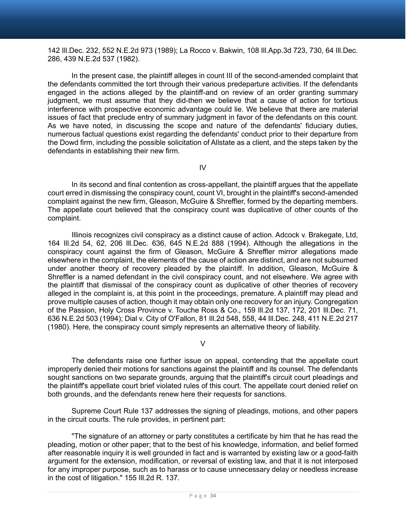142 Ill.Dec. 232, 552 N.E.2d 973 (1989); La Rocco v. Bakwin, 108 Ill.App.3d 723, 730, 64 Ill.Dec. 286, 439 N.E.2d 537 (1982).

In the present case, the plaintiff alleges in count III of the second-amended complaint that the defendants committed the tort through their various predeparture activities. If the defendants engaged in the actions alleged by the plaintiff-and on review of an order granting summary judgment, we must assume that they did-then we believe that a cause of action for tortious interference with prospective economic advantage could lie. We believe that there are material issues of fact that preclude entry of summary judgment in favor of the defendants on this count. As we have noted, in discussing the scope and nature of the defendants' fiduciary duties, numerous factual questions exist regarding the defendants' conduct prior to their departure from the Dowd firm, including the possible solicitation of Allstate as a client, and the steps taken by the defendants in establishing their new firm.

IV

In its second and final contention as cross-appellant, the plaintiff argues that the appellate court erred in dismissing the conspiracy count, count VI, brought in the plaintiff's second-amended complaint against the new firm, Gleason, McGuire & Shreffler, formed by the departing members. The appellate court believed that the conspiracy count was duplicative of other counts of the complaint.

Illinois recognizes civil conspiracy as a distinct cause of action. Adcock v. Brakegate, Ltd, 164 Ill.2d 54, 62, 206 Ill.Dec. 636, 645 N.E.2d 888 (1994). Although the allegations in the conspiracy count against the firm of Gleason, McGuire & Shreffler mirror allegations made elsewhere in the complaint, the elements of the cause of action are distinct, and are not subsumed under another theory of recovery pleaded by the plaintiff. In addition, Gleason, McGuire & Shreffler is a named defendant in the civil conspiracy count, and not elsewhere. We agree with the plaintiff that dismissal of the conspiracy count as duplicative of other theories of recovery alleged in the complaint is, at this point in the proceedings, premature. A plaintiff may plead and prove multiple causes of action, though it may obtain only one recovery for an injury. Congregation of the Passion, Holy Cross Province v. Touche Ross & Co., 159 Ill.2d 137, 172, 201 Ill.Dec. 71, 636 N.E.2d 503 (1994); Dial v. City of O'Fallon, 81 Ill.2d 548, 558, 44 Ill.Dec. 248, 411 N.E.2d 217 (1980). Here, the conspiracy count simply represents an alternative theory of liability.

V

The defendants raise one further issue on appeal, contending that the appellate court improperly denied their motions for sanctions against the plaintiff and its counsel. The defendants sought sanctions on two separate grounds, arguing that the plaintiff's circuit court pleadings and the plaintiff's appellate court brief violated rules of this court. The appellate court denied relief on both grounds, and the defendants renew here their requests for sanctions.

Supreme Court Rule 137 addresses the signing of pleadings, motions, and other papers in the circuit courts. The rule provides, in pertinent part:

"The signature of an attorney or party constitutes a certificate by him that he has read the pleading, motion or other paper; that to the best of his knowledge, information, and belief formed after reasonable inquiry it is well grounded in fact and is warranted by existing law or a good-faith argument for the extension, modification, or reversal of existing law, and that it is not interposed for any improper purpose, such as to harass or to cause unnecessary delay or needless increase in the cost of litigation." 155 Ill.2d R. 137.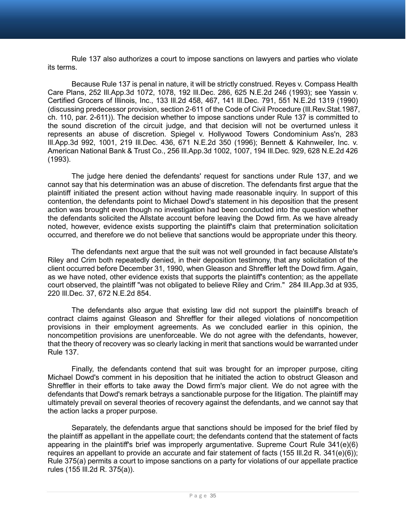Rule 137 also authorizes a court to impose sanctions on lawyers and parties who violate its terms.

Because Rule 137 is penal in nature, it will be strictly construed. Reyes v. Compass Health Care Plans, 252 Ill.App.3d 1072, 1078, 192 Ill.Dec. 286, 625 N.E.2d 246 (1993); see Yassin v. Certified Grocers of Illinois, Inc., 133 Ill.2d 458, 467, 141 Ill.Dec. 791, 551 N.E.2d 1319 (1990) (discussing predecessor provision, section 2-611 of the Code of Civil Procedure (Ill.Rev.Stat.1987, ch. 110, par. 2-611)). The decision whether to impose sanctions under Rule 137 is committed to the sound discretion of the circuit judge, and that decision will not be overturned unless it represents an abuse of discretion. Spiegel v. Hollywood Towers Condominium Ass'n, 283 Ill.App.3d 992, 1001, 219 Ill.Dec. 436, 671 N.E.2d 350 (1996); Bennett & Kahnweiler, Inc. v. American National Bank & Trust Co., 256 Ill.App.3d 1002, 1007, 194 Ill.Dec. 929, 628 N.E.2d 426 (1993).

The judge here denied the defendants' request for sanctions under Rule 137, and we cannot say that his determination was an abuse of discretion. The defendants first argue that the plaintiff initiated the present action without having made reasonable inquiry. In support of this contention, the defendants point to Michael Dowd's statement in his deposition that the present action was brought even though no investigation had been conducted into the question whether the defendants solicited the Allstate account before leaving the Dowd firm. As we have already noted, however, evidence exists supporting the plaintiff's claim that pretermination solicitation occurred, and therefore we do not believe that sanctions would be appropriate under this theory.

The defendants next argue that the suit was not well grounded in fact because Allstate's Riley and Crim both repeatedly denied, in their deposition testimony, that any solicitation of the client occurred before December 31, 1990, when Gleason and Shreffler left the Dowd firm. Again, as we have noted, other evidence exists that supports the plaintiff's contention; as the appellate court observed, the plaintiff "was not obligated to believe Riley and Crim." 284 Ill.App.3d at 935, 220 Ill.Dec. 37, 672 N.E.2d 854.

The defendants also argue that existing law did not support the plaintiff's breach of contract claims against Gleason and Shreffler for their alleged violations of noncompetition provisions in their employment agreements. As we concluded earlier in this opinion, the noncompetition provisions are unenforceable. We do not agree with the defendants, however, that the theory of recovery was so clearly lacking in merit that sanctions would be warranted under Rule 137.

Finally, the defendants contend that suit was brought for an improper purpose, citing Michael Dowd's comment in his deposition that he initiated the action to obstruct Gleason and Shreffler in their efforts to take away the Dowd firm's major client. We do not agree with the defendants that Dowd's remark betrays a sanctionable purpose for the litigation. The plaintiff may ultimately prevail on several theories of recovery against the defendants, and we cannot say that the action lacks a proper purpose.

Separately, the defendants argue that sanctions should be imposed for the brief filed by the plaintiff as appellant in the appellate court; the defendants contend that the statement of facts appearing in the plaintiff's brief was improperly argumentative. Supreme Court Rule 341(e)(6) requires an appellant to provide an accurate and fair statement of facts (155 Ill.2d R. 341(e)(6)); Rule 375(a) permits a court to impose sanctions on a party for violations of our appellate practice rules (155 Ill.2d R. 375(a)).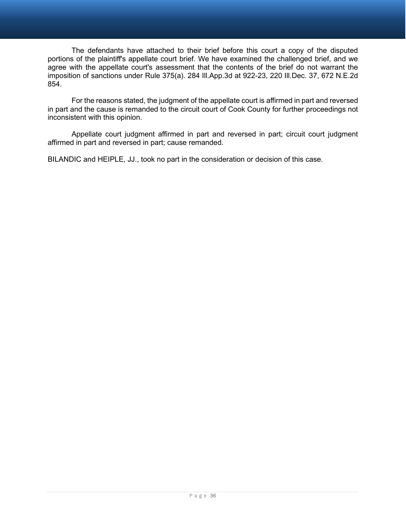The defendants have attached to their brief before this court a copy of the disputed portions of the plaintiff's appellate court brief. We have examined the challenged brief, and we agree with the appellate court's assessment that the contents of the brief do not warrant the imposition of sanctions under Rule 375(a). 284 Ill.App.3d at 922-23, 220 Ill.Dec. 37, 672 N.E.2d 854.

For the reasons stated, the judgment of the appellate court is affirmed in part and reversed in part and the cause is remanded to the circuit court of Cook County for further proceedings not inconsistent with this opinion.

Appellate court judgment affirmed in part and reversed in part; circuit court judgment affirmed in part and reversed in part; cause remanded.

BILANDIC and HEIPLE, JJ., took no part in the consideration or decision of this case.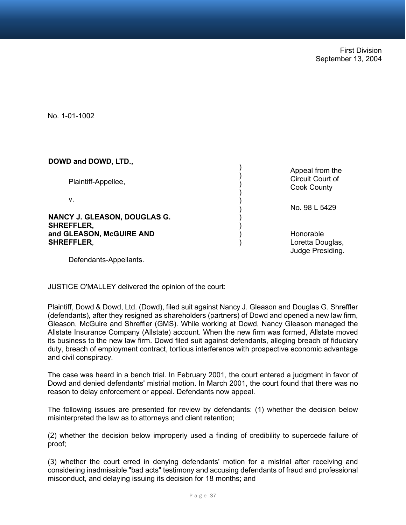<span id="page-36-0"></span>No. 1-01-1002

## **DOWD and DOWD, LTD.,**

| Plaintiff-Appellee,                                     | Appeal from the<br>Circuit Court of<br><b>Cook County</b> |
|---------------------------------------------------------|-----------------------------------------------------------|
| V.<br>NANCY J. GLEASON, DOUGLAS G.<br><b>SHREFFLER,</b> | No. 98 L 5429                                             |
| and GLEASON, McGUIRE AND<br><b>SHREFFLER,</b>           | Honorable<br>Loretta Douglas,<br>Judge Presiding.         |

 $\lambda$ 

Defendants-Appellants.

JUSTICE O'MALLEY delivered the opinion of the court:

Plaintiff, Dowd & Dowd, Ltd. (Dowd), filed suit against Nancy J. Gleason and Douglas G. Shreffler (defendants), after they resigned as shareholders (partners) of Dowd and opened a new law firm, Gleason, McGuire and Shreffler (GMS). While working at Dowd, Nancy Gleason managed the Allstate Insurance Company (Allstate) account. When the new firm was formed, Allstate moved its business to the new law firm. Dowd filed suit against defendants, alleging breach of fiduciary duty, breach of employment contract, tortious interference with prospective economic advantage and civil conspiracy.

The case was heard in a bench trial. In February 2001, the court entered a judgment in favor of Dowd and denied defendants' mistrial motion. In March 2001, the court found that there was no reason to delay enforcement or appeal. Defendants now appeal.

The following issues are presented for review by defendants: (1) whether the decision below misinterpreted the law as to attorneys and client retention;

(2) whether the decision below improperly used a finding of credibility to supercede failure of proof;

(3) whether the court erred in denying defendants' motion for a mistrial after receiving and considering inadmissible "bad acts" testimony and accusing defendants of fraud and professional misconduct, and delaying issuing its decision for 18 months; and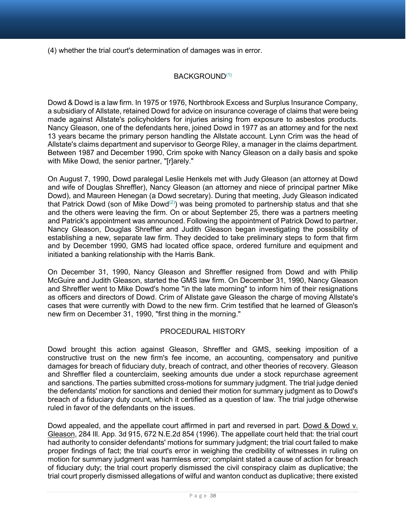(4) whether the trial court's determination of damages was in error.

## BACKGROUN[D\(1\)](http://www.state.il.us/court/Opinions/AppellateCourt/2004/1stDistrict/September/HTML/1011002.htm#N_1_#N_1_)

Dowd & Dowd is a law firm. In 1975 or 1976, Northbrook Excess and Surplus Insurance Company, a subsidiary of Allstate, retained Dowd for advice on insurance coverage of claims that were being made against Allstate's policyholders for injuries arising from exposure to asbestos products. Nancy Gleason, one of the defendants here, joined Dowd in 1977 as an attorney and for the next 13 years became the primary person handling the Allstate account. Lynn Crim was the head of Allstate's claims department and supervisor to George Riley, a manager in the claims department. Between 1987 and December 1990, Crim spoke with Nancy Gleason on a daily basis and spoke with Mike Dowd, the senior partner, "[r]arely."

On August 7, 1990, Dowd paralegal Leslie Henkels met with Judy Gleason (an attorney at Dowd and wife of Douglas Shreffler), Nancy Gleason (an attorney and niece of principal partner Mike Dowd), and Maureen Henegan (a Dowd secretary). During that meeting, Judy Gleason indicated that Patrick Dowd (son of Mike Dowd<sup>(2)</sup>) was being promoted to partnership status and that she and the others were leaving the firm. On or about September 25, there was a partners meeting and Patrick's appointment was announced. Following the appointment of Patrick Dowd to partner, Nancy Gleason, Douglas Shreffler and Judith Gleason began investigating the possibility of establishing a new, separate law firm. They decided to take preliminary steps to form that firm and by December 1990, GMS had located office space, ordered furniture and equipment and initiated a banking relationship with the Harris Bank.

On December 31, 1990, Nancy Gleason and Shreffler resigned from Dowd and with Philip McGuire and Judith Gleason, started the GMS law firm. On December 31, 1990, Nancy Gleason and Shreffler went to Mike Dowd's home "in the late morning" to inform him of their resignations as officers and directors of Dowd. Crim of Allstate gave Gleason the charge of moving Allstate's cases that were currently with Dowd to the new firm. Crim testified that he learned of Gleason's new firm on December 31, 1990, "first thing in the morning."

## PROCEDURAL HISTORY

Dowd brought this action against Gleason, Shreffler and GMS, seeking imposition of a constructive trust on the new firm's fee income, an accounting, compensatory and punitive damages for breach of fiduciary duty, breach of contract, and other theories of recovery. Gleason and Shreffler filed a counterclaim, seeking amounts due under a stock repurchase agreement and sanctions. The parties submitted cross-motions for summary judgment. The trial judge denied the defendants' motion for sanctions and denied their motion for summary judgment as to Dowd's breach of a fiduciary duty count, which it certified as a question of law. The trial judge otherwise ruled in favor of the defendants on the issues.

Dowd appealed, and the appellate court affirmed in part and reversed in part. Dowd & Dowd v. Gleason, 284 Ill. App. 3d 915, 672 N.E.2d 854 (1996). The appellate court held that: the trial court had authority to consider defendants' motions for summary judgment; the trial court failed to make proper findings of fact; the trial court's error in weighing the credibility of witnesses in ruling on motion for summary judgment was harmless error; complaint stated a cause of action for breach of fiduciary duty; the trial court properly dismissed the civil conspiracy claim as duplicative; the trial court properly dismissed allegations of wilful and wanton conduct as duplicative; there existed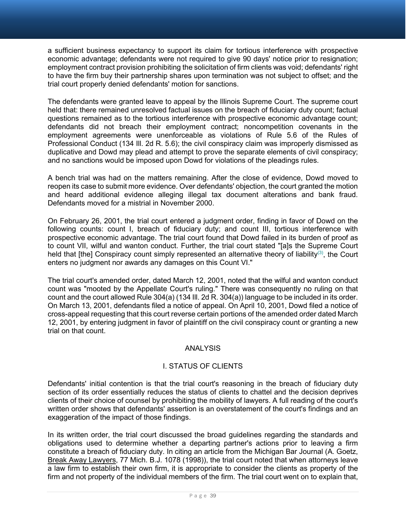a sufficient business expectancy to support its claim for tortious interference with prospective economic advantage; defendants were not required to give 90 days' notice prior to resignation; employment contract provision prohibiting the solicitation of firm clients was void; defendants' right to have the firm buy their partnership shares upon termination was not subject to offset; and the trial court properly denied defendants' motion for sanctions.

The defendants were granted leave to appeal by the Illinois Supreme Court. The supreme court held that: there remained unresolved factual issues on the breach of fiduciary duty count; factual questions remained as to the tortious interference with prospective economic advantage count; defendants did not breach their employment contract; noncompetition covenants in the employment agreements were unenforceable as violations of Rule 5.6 of the Rules of Professional Conduct (134 Ill. 2d R. 5.6); the civil conspiracy claim was improperly dismissed as duplicative and Dowd may plead and attempt to prove the separate elements of civil conspiracy; and no sanctions would be imposed upon Dowd for violations of the pleadings rules.

A bench trial was had on the matters remaining. After the close of evidence, Dowd moved to reopen its case to submit more evidence. Over defendants' objection, the court granted the motion and heard additional evidence alleging illegal tax document alterations and bank fraud. Defendants moved for a mistrial in November 2000.

On February 26, 2001, the trial court entered a judgment order, finding in favor of Dowd on the following counts: count I, breach of fiduciary duty; and count III, tortious interference with prospective economic advantage. The trial court found that Dowd failed in its burden of proof as to count VII, wilful and wanton conduct. Further, the trial court stated "[a]s the Supreme Court held that [the] Conspiracy count simply represented an alternative theory of liability<sup>(3)</sup>, the Court enters no judgment nor awards any damages on this Count VI."

The trial court's amended order, dated March 12, 2001, noted that the wilful and wanton conduct count was "mooted by the Appellate Court's ruling." There was consequently no ruling on that count and the court allowed Rule 304(a) (134 Ill. 2d R. 304(a)) language to be included in its order. On March 13, 2001, defendants filed a notice of appeal. On April 10, 2001, Dowd filed a notice of cross-appeal requesting that this court reverse certain portions of the amended order dated March 12, 2001, by entering judgment in favor of plaintiff on the civil conspiracy count or granting a new trial on that count.

## ANALYSIS

# I. STATUS OF CLIENTS

Defendants' initial contention is that the trial court's reasoning in the breach of fiduciary duty section of its order essentially reduces the status of clients to chattel and the decision deprives clients of their choice of counsel by prohibiting the mobility of lawyers. A full reading of the court's written order shows that defendants' assertion is an overstatement of the court's findings and an exaggeration of the impact of those findings.

In its written order, the trial court discussed the broad guidelines regarding the standards and obligations used to determine whether a departing partner's actions prior to leaving a firm constitute a breach of fiduciary duty. In citing an article from the Michigan Bar Journal (A. Goetz, Break Away Lawyers, 77 Mich. B.J. 1078 (1998)), the trial court noted that when attorneys leave a law firm to establish their own firm, it is appropriate to consider the clients as property of the firm and not property of the individual members of the firm. The trial court went on to explain that,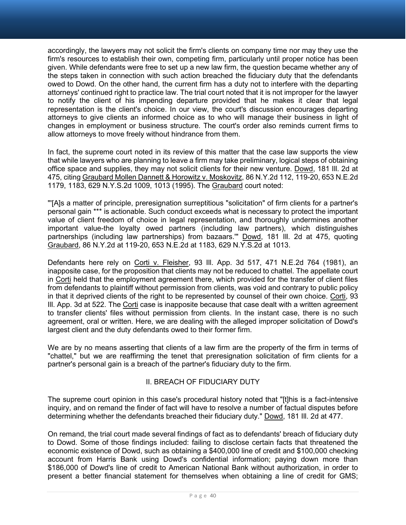accordingly, the lawyers may not solicit the firm's clients on company time nor may they use the firm's resources to establish their own, competing firm, particularly until proper notice has been given. While defendants were free to set up a new law firm, the question became whether any of the steps taken in connection with such action breached the fiduciary duty that the defendants owed to Dowd. On the other hand, the current firm has a duty not to interfere with the departing attorneys' continued right to practice law. The trial court noted that it is not improper for the lawyer to notify the client of his impending departure provided that he makes it clear that legal representation is the client's choice. In our view, the court's discussion encourages departing attorneys to give clients an informed choice as to who will manage their business in light of changes in employment or business structure. The court's order also reminds current firms to allow attorneys to move freely without hindrance from them.

In fact, the supreme court noted in its review of this matter that the case law supports the view that while lawyers who are planning to leave a firm may take preliminary, logical steps of obtaining office space and supplies, they may not solicit clients for their new venture. Dowd, 181 Ill. 2d at 475, citing Graubard Mollen Dannett & Horowitz v. Moskovitz, 86 N.Y.2d 112, 119-20, 653 N.E.2d 1179, 1183, 629 N.Y.S.2d 1009, 1013 (1995). The Graubard court noted:

"'[A]s a matter of principle, preresignation surreptitious "solicitation" of firm clients for a partner's personal gain \*\*\* is actionable. Such conduct exceeds what is necessary to protect the important value of client freedom of choice in legal representation, and thoroughly undermines another important value-the loyalty owed partners (including law partners), which distinguishes partnerships (including law partnerships) from bazaars." Dowd, 181 III. 2d at 475, quoting Graubard, 86 N.Y.2d at 119-20, 653 N.E.2d at 1183, 629 N.Y.S.2d at 1013.

Defendants here rely on Corti v. Fleisher, 93 Ill. App. 3d 517, 471 N.E.2d 764 (1981), an inapposite case, for the proposition that clients may not be reduced to chattel. The appellate court in Corti held that the employment agreement there, which provided for the transfer of client files from defendants to plaintiff without permission from clients, was void and contrary to public policy in that it deprived clients of the right to be represented by counsel of their own choice. Corti, 93 Ill. App. 3d at 522. The Corti case is inapposite because that case dealt with a written agreement to transfer clients' files without permission from clients. In the instant case, there is no such agreement, oral or written. Here, we are dealing with the alleged improper solicitation of Dowd's largest client and the duty defendants owed to their former firm.

We are by no means asserting that clients of a law firm are the property of the firm in terms of "chattel," but we are reaffirming the tenet that preresignation solicitation of firm clients for a partner's personal gain is a breach of the partner's fiduciary duty to the firm.

# II. BREACH OF FIDUCIARY DUTY

The supreme court opinion in this case's procedural history noted that "[t]his is a fact-intensive inquiry, and on remand the finder of fact will have to resolve a number of factual disputes before determining whether the defendants breached their fiduciary duty." Dowd, 181 Ill. 2d at 477.

On remand, the trial court made several findings of fact as to defendants' breach of fiduciary duty to Dowd. Some of those findings included: failing to disclose certain facts that threatened the economic existence of Dowd, such as obtaining a \$400,000 line of credit and \$100,000 checking account from Harris Bank using Dowd's confidential information; paying down more than \$186,000 of Dowd's line of credit to American National Bank without authorization, in order to present a better financial statement for themselves when obtaining a line of credit for GMS;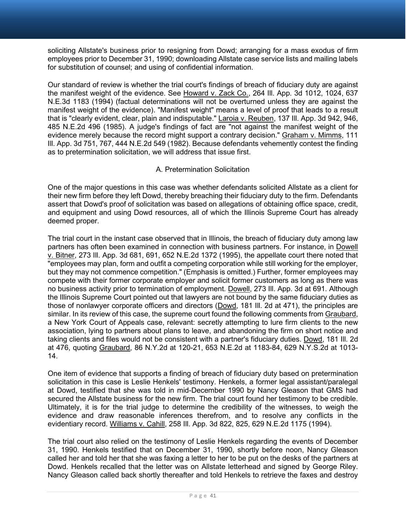soliciting Allstate's business prior to resigning from Dowd; arranging for a mass exodus of firm employees prior to December 31, 1990; downloading Allstate case service lists and mailing labels for substitution of counsel; and using of confidential information.

Our standard of review is whether the trial court's findings of breach of fiduciary duty are against the manifest weight of the evidence. See Howard v. Zack Co., 264 Ill. App. 3d 1012, 1024, 637 N.E.3d 1183 (1994) (factual determinations will not be overturned unless they are against the manifest weight of the evidence). "Manifest weight" means a level of proof that leads to a result that is "clearly evident, clear, plain and indisputable." Laroia v. Reuben, 137 Ill. App. 3d 942, 946, 485 N.E.2d 496 (1985). A judge's findings of fact are "not against the manifest weight of the evidence merely because the record might support a contrary decision." Graham v. Mimms, 111 Ill. App. 3d 751, 767, 444 N.E.2d 549 (1982). Because defendants vehemently contest the finding as to pretermination solicitation, we will address that issue first.

## A. Pretermination Solicitation

One of the major questions in this case was whether defendants solicited Allstate as a client for their new firm before they left Dowd, thereby breaching their fiduciary duty to the firm. Defendants assert that Dowd's proof of solicitation was based on allegations of obtaining office space, credit, and equipment and using Dowd resources, all of which the Illinois Supreme Court has already deemed proper.

The trial court in the instant case observed that in Illinois, the breach of fiduciary duty among law partners has often been examined in connection with business partners. For instance, in Dowell v. Bitner, 273 Ill. App. 3d 681, 691, 652 N.E.2d 1372 (1995), the appellate court there noted that "employees may plan, form and outfit a competing corporation while still working for the employer, but they may not commence competition." (Emphasis is omitted.) Further, former employees may compete with their former corporate employer and solicit former customers as long as there was no business activity prior to termination of employment. Dowell, 273 Ill. App. 3d at 691. Although the Illinois Supreme Court pointed out that lawyers are not bound by the same fiduciary duties as those of nonlawyer corporate officers and directors (Dowd, 181 Ill. 2d at 471), the principles are similar. In its review of this case, the supreme court found the following comments from Graubard, a New York Court of Appeals case, relevant: secretly attempting to lure firm clients to the new association, lying to partners about plans to leave, and abandoning the firm on short notice and taking clients and files would not be consistent with a partner's fiduciary duties. Dowd, 181 Ill. 2d at 476, quoting Graubard, 86 N.Y.2d at 120-21, 653 N.E.2d at 1183-84, 629 N.Y.S.2d at 1013- 14.

One item of evidence that supports a finding of breach of fiduciary duty based on pretermination solicitation in this case is Leslie Henkels' testimony. Henkels, a former legal assistant/paralegal at Dowd, testified that she was told in mid-December 1990 by Nancy Gleason that GMS had secured the Allstate business for the new firm. The trial court found her testimony to be credible. Ultimately, it is for the trial judge to determine the credibility of the witnesses, to weigh the evidence and draw reasonable inferences therefrom, and to resolve any conflicts in the evidentiary record. Williams v. Cahill, 258 Ill. App. 3d 822, 825, 629 N.E.2d 1175 (1994).

The trial court also relied on the testimony of Leslie Henkels regarding the events of December 31, 1990. Henkels testified that on December 31, 1990, shortly before noon, Nancy Gleason called her and told her that she was faxing a letter to her to be put on the desks of the partners at Dowd. Henkels recalled that the letter was on Allstate letterhead and signed by George Riley. Nancy Gleason called back shortly thereafter and told Henkels to retrieve the faxes and destroy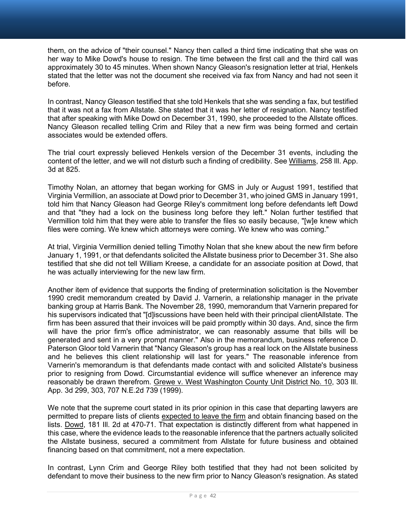them, on the advice of "their counsel." Nancy then called a third time indicating that she was on her way to Mike Dowd's house to resign. The time between the first call and the third call was approximately 30 to 45 minutes. When shown Nancy Gleason's resignation letter at trial, Henkels stated that the letter was not the document she received via fax from Nancy and had not seen it before.

In contrast, Nancy Gleason testified that she told Henkels that she was sending a fax, but testified that it was not a fax from Allstate. She stated that it was her letter of resignation. Nancy testified that after speaking with Mike Dowd on December 31, 1990, she proceeded to the Allstate offices. Nancy Gleason recalled telling Crim and Riley that a new firm was being formed and certain associates would be extended offers.

The trial court expressly believed Henkels version of the December 31 events, including the content of the letter, and we will not disturb such a finding of credibility. See Williams, 258 Ill. App. 3d at 825.

Timothy Nolan, an attorney that began working for GMS in July or August 1991, testified that Virginia Vermillion, an associate at Dowd prior to December 31, who joined GMS in January 1991, told him that Nancy Gleason had George Riley's commitment long before defendants left Dowd and that "they had a lock on the business long before they left." Nolan further testified that Vermillion told him that they were able to transfer the files so easily because, "[w]e knew which files were coming. We knew which attorneys were coming. We knew who was coming."

At trial, Virginia Vermillion denied telling Timothy Nolan that she knew about the new firm before January 1, 1991, or that defendants solicited the Allstate business prior to December 31. She also testified that she did not tell William Kreese, a candidate for an associate position at Dowd, that he was actually interviewing for the new law firm.

Another item of evidence that supports the finding of pretermination solicitation is the November 1990 credit memorandum created by David J. Varnerin, a relationship manager in the private banking group at Harris Bank. The November 28, 1990, memorandum that Varnerin prepared for his supervisors indicated that "[d]iscussions have been held with their principal clientAllstate. The firm has been assured that their invoices will be paid promptly within 30 days. And, since the firm will have the prior firm's office administrator, we can reasonably assume that bills will be generated and sent in a very prompt manner." Also in the memorandum, business reference D. Paterson Gloor told Varnerin that "Nancy Gleason's group has a real lock on the Allstate business and he believes this client relationship will last for years." The reasonable inference from Varnerin's memorandum is that defendants made contact with and solicited Allstate's business prior to resigning from Dowd. Circumstantial evidence will suffice whenever an inference may reasonably be drawn therefrom. Grewe v. West Washington County Unit District No. 10, 303 III. App. 3d 299, 303, 707 N.E.2d 739 (1999).

We note that the supreme court stated in its prior opinion in this case that departing lawyers are permitted to prepare lists of clients expected to leave the firm and obtain financing based on the lists. Dowd, 181 Ill. 2d at 470-71. That expectation is distinctly different from what happened in this case, where the evidence leads to the reasonable inference that the partners actually solicited the Allstate business, secured a commitment from Allstate for future business and obtained financing based on that commitment, not a mere expectation.

In contrast, Lynn Crim and George Riley both testified that they had not been solicited by defendant to move their business to the new firm prior to Nancy Gleason's resignation. As stated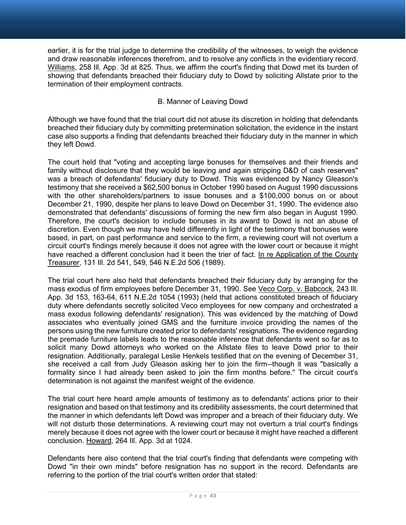earlier, it is for the trial judge to determine the credibility of the witnesses, to weigh the evidence and draw reasonable inferences therefrom, and to resolve any conflicts in the evidentiary record. Williams, 258 Ill. App. 3d at 825. Thus, we affirm the court's finding that Dowd met its burden of showing that defendants breached their fiduciary duty to Dowd by soliciting Allstate prior to the termination of their employment contracts.

## B. Manner of Leaving Dowd

Although we have found that the trial court did not abuse its discretion in holding that defendants breached their fiduciary duty by committing pretermination solicitation, the evidence in the instant case also supports a finding that defendants breached their fiduciary duty in the manner in which they left Dowd.

The court held that "voting and accepting large bonuses for themselves and their friends and family without disclosure that they would be leaving and again stripping D&D of cash reserves" was a breach of defendants' fiduciary duty to Dowd. This was evidenced by Nancy Gleason's testimony that she received a \$62,500 bonus in October 1990 based on August 1990 discussions with the other shareholders/partners to issue bonuses and a \$100,000 bonus on or about December 21, 1990, despite her plans to leave Dowd on December 31, 1990. The evidence also demonstrated that defendants' discussions of forming the new firm also began in August 1990. Therefore, the court's decision to include bonuses in its award to Dowd is not an abuse of discretion. Even though we may have held differently in light of the testimony that bonuses were based, in part, on past performance and service to the firm, a reviewing court will not overturn a circuit court's findings merely because it does not agree with the lower court or because it might have reached a different conclusion had it been the trier of fact. In re Application of the County Treasurer, 131 Ill. 2d 541, 549, 546 N.E.2d 506 (1989).

The trial court here also held that defendants breached their fiduciary duty by arranging for the mass exodus of firm employees before December 31, 1990. See Veco Corp. v. Babcock, 243 Ill. App. 3d 153, 163-64, 611 N.E.2d 1054 (1993) (held that actions constituted breach of fiduciary duty where defendants secretly solicited Veco employees for new company and orchestrated a mass exodus following defendants' resignation). This was evidenced by the matching of Dowd associates who eventually joined GMS and the furniture invoice providing the names of the persons using the new furniture created prior to defendants' resignations. The evidence regarding the premade furniture labels leads to the reasonable inference that defendants went so far as to solicit many Dowd attorneys who worked on the Allstate files to leave Dowd prior to their resignation. Additionally, paralegal Leslie Henkels testified that on the evening of December 31, she received a call from Judy Gleason asking her to join the firm--though it was "basically a formality since I had already been asked to join the firm months before." The circuit court's determination is not against the manifest weight of the evidence.

The trial court here heard ample amounts of testimony as to defendants' actions prior to their resignation and based on that testimony and its credibility assessments, the court determined that the manner in which defendants left Dowd was improper and a breach of their fiduciary duty. We will not disturb those determinations. A reviewing court may not overturn a trial court's findings merely because it does not agree with the lower court or because it might have reached a different conclusion. Howard, 264 Ill. App. 3d at 1024.

Defendants here also contend that the trial court's finding that defendants were competing with Dowd "in their own minds" before resignation has no support in the record. Defendants are referring to the portion of the trial court's written order that stated: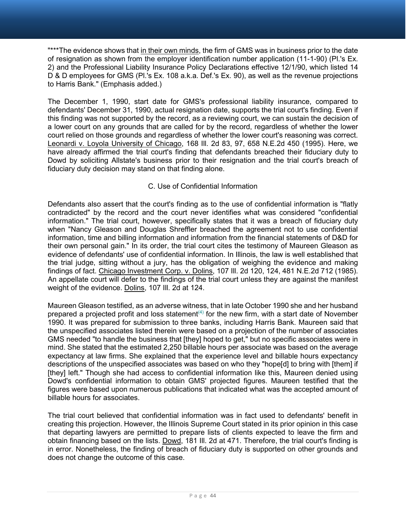"\*\*\*The evidence shows that in their own minds, the firm of GMS was in business prior to the date of resignation as shown from the employer identification number application (11-1-90) (Pl.'s Ex. 2) and the Professional Liability Insurance Policy Declarations effective 12/1/90, which listed 14 D & D employees for GMS (Pl.'s Ex. 108 a.k.a. Def.'s Ex. 90), as well as the revenue projections to Harris Bank." (Emphasis added.)

The December 1, 1990, start date for GMS's professional liability insurance, compared to defendants' December 31, 1990, actual resignation date, supports the trial court's finding. Even if this finding was not supported by the record, as a reviewing court, we can sustain the decision of a lower court on any grounds that are called for by the record, regardless of whether the lower court relied on those grounds and regardless of whether the lower court's reasoning was correct. Leonardi v. Loyola University of Chicago, 168 Ill. 2d 83, 97, 658 N.E.2d 450 (1995). Here, we have already affirmed the trial court's finding that defendants breached their fiduciary duty to Dowd by soliciting Allstate's business prior to their resignation and the trial court's breach of fiduciary duty decision may stand on that finding alone.

# C. Use of Confidential Information

Defendants also assert that the court's finding as to the use of confidential information is "flatly contradicted" by the record and the court never identifies what was considered "confidential information." The trial court, however, specifically states that it was a breach of fiduciary duty when "Nancy Gleason and Douglas Shreffler breached the agreement not to use confidential information, time and billing information and information from the financial statements of D&D for their own personal gain." In its order, the trial court cites the testimony of Maureen Gleason as evidence of defendants' use of confidential information. In Illinois, the law is well established that the trial judge, sitting without a jury, has the obligation of weighing the evidence and making findings of fact. Chicago Investment Corp. v. Dolins, 107 Ill. 2d 120, 124, 481 N.E.2d 712 (1985). An appellate court will defer to the findings of the trial court unless they are against the manifest weight of the evidence. Dolins, 107 Ill. 2d at 124.

Maureen Gleason testified, as an adverse witness, that in late October 1990 she and her husband prepared a projected profit and loss statement<sup> $(4)$ </sup> for the new firm, with a start date of November 1990. It was prepared for submission to three banks, including Harris Bank. Maureen said that the unspecified associates listed therein were based on a projection of the number of associates GMS needed "to handle the business that [they] hoped to get," but no specific associates were in mind. She stated that the estimated 2,250 billable hours per associate was based on the average expectancy at law firms. She explained that the experience level and billable hours expectancy descriptions of the unspecified associates was based on who they "hope[d] to bring with [them] if [they] left." Though she had access to confidential information like this, Maureen denied using Dowd's confidential information to obtain GMS' projected figures. Maureen testified that the figures were based upon numerous publications that indicated what was the accepted amount of billable hours for associates.

The trial court believed that confidential information was in fact used to defendants' benefit in creating this projection. However, the Illinois Supreme Court stated in its prior opinion in this case that departing lawyers are permitted to prepare lists of clients expected to leave the firm and obtain financing based on the lists. Dowd, 181 Ill. 2d at 471. Therefore, the trial court's finding is in error. Nonetheless, the finding of breach of fiduciary duty is supported on other grounds and does not change the outcome of this case.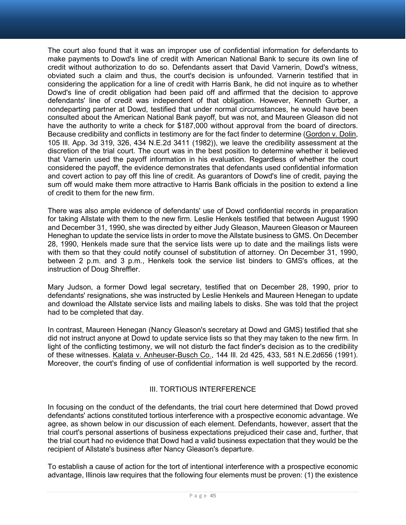The court also found that it was an improper use of confidential information for defendants to make payments to Dowd's line of credit with American National Bank to secure its own line of credit without authorization to do so. Defendants assert that David Varnerin, Dowd's witness, obviated such a claim and thus, the court's decision is unfounded. Varnerin testified that in considering the application for a line of credit with Harris Bank, he did not inquire as to whether Dowd's line of credit obligation had been paid off and affirmed that the decision to approve defendants' line of credit was independent of that obligation. However, Kenneth Gurber, a nondeparting partner at Dowd, testified that under normal circumstances, he would have been consulted about the American National Bank payoff, but was not, and Maureen Gleason did not have the authority to write a check for \$187,000 without approval from the board of directors. Because credibility and conflicts in testimony are for the fact finder to determine (Gordon v. Dolin, 105 Ill. App. 3d 319, 326, 434 N.E.2d 3411 (1982)), we leave the credibility assessment at the discretion of the trial court. The court was in the best position to determine whether it believed that Varnerin used the payoff information in his evaluation. Regardless of whether the court considered the payoff, the evidence demonstrates that defendants used confidential information and covert action to pay off this line of credit. As guarantors of Dowd's line of credit, paying the sum off would make them more attractive to Harris Bank officials in the position to extend a line of credit to them for the new firm.

There was also ample evidence of defendants' use of Dowd confidential records in preparation for taking Allstate with them to the new firm. Leslie Henkels testified that between August 1990 and December 31, 1990, she was directed by either Judy Gleason, Maureen Gleason or Maureen Heneghan to update the service lists in order to move the Allstate business to GMS. On December 28, 1990, Henkels made sure that the service lists were up to date and the mailings lists were with them so that they could notify counsel of substitution of attorney. On December 31, 1990, between 2 p.m. and 3 p.m., Henkels took the service list binders to GMS's offices, at the instruction of Doug Shreffler.

Mary Judson, a former Dowd legal secretary, testified that on December 28, 1990, prior to defendants' resignations, she was instructed by Leslie Henkels and Maureen Henegan to update and download the Allstate service lists and mailing labels to disks. She was told that the project had to be completed that day.

In contrast, Maureen Henegan (Nancy Gleason's secretary at Dowd and GMS) testified that she did not instruct anyone at Dowd to update service lists so that they may taken to the new firm. In light of the conflicting testimony, we will not disturb the fact finder's decision as to the credibility of these witnesses. Kalata v. Anheuser-Busch Co., 144 Ill. 2d 425, 433, 581 N.E.2d656 (1991). Moreover, the court's finding of use of confidential information is well supported by the record.

# III. TORTIOUS INTERFERENCE

In focusing on the conduct of the defendants, the trial court here determined that Dowd proved defendants' actions constituted tortious interference with a prospective economic advantage. We agree, as shown below in our discussion of each element. Defendants, however, assert that the trial court's personal assertions of business expectations prejudiced their case and, further, that the trial court had no evidence that Dowd had a valid business expectation that they would be the recipient of Allstate's business after Nancy Gleason's departure.

To establish a cause of action for the tort of intentional interference with a prospective economic advantage, Illinois law requires that the following four elements must be proven: (1) the existence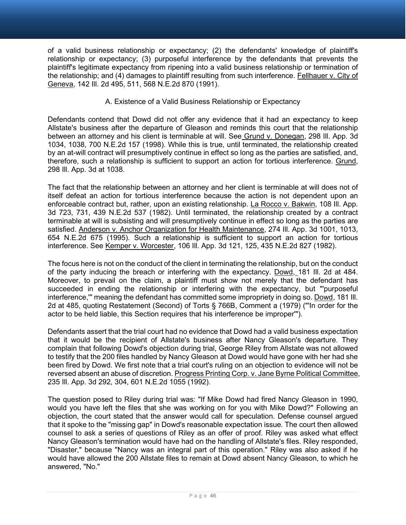of a valid business relationship or expectancy; (2) the defendants' knowledge of plaintiff's relationship or expectancy; (3) purposeful interference by the defendants that prevents the plaintiff's legitimate expectancy from ripening into a valid business relationship or termination of the relationship; and (4) damages to plaintiff resulting from such interference. Fellhauer v. City of Geneva, 142 Ill. 2d 495, 511, 568 N.E.2d 870 (1991).

A. Existence of a Valid Business Relationship or Expectancy

Defendants contend that Dowd did not offer any evidence that it had an expectancy to keep Allstate's business after the departure of Gleason and reminds this court that the relationship between an attorney and his client is terminable at will. See Grund v. Donegan, 298 Ill. App. 3d 1034, 1038, 700 N.E.2d 157 (1998). While this is true, until terminated, the relationship created by an at-will contract will presumptively continue in effect so long as the parties are satisfied, and, therefore, such a relationship is sufficient to support an action for tortious interference. Grund, 298 Ill. App. 3d at 1038.

The fact that the relationship between an attorney and her client is terminable at will does not of itself defeat an action for tortious interference because the action is not dependent upon an enforceable contract but, rather, upon an existing relationship. La Rocco v. Bakwin, 108 Ill. App. 3d 723, 731, 439 N.E.2d 537 (1982). Until terminated, the relationship created by a contract terminable at will is subsisting and will presumptively continue in effect so long as the parties are satisfied. Anderson v. Anchor Organization for Health Maintenance, 274 Ill. App. 3d 1001, 1013, 654 N.E.2d 675 (1995). Such a relationship is sufficient to support an action for tortious interference. See Kemper v. Worcester, 106 Ill. App. 3d 121, 125, 435 N.E.2d 827 (1982).

The focus here is not on the conduct of the client in terminating the relationship, but on the conduct of the party inducing the breach or interfering with the expectancy. Dowd, 181 Ill. 2d at 484. Moreover, to prevail on the claim, a plaintiff must show not merely that the defendant has succeeded in ending the relationship or interfering with the expectancy, but "'purposeful interference,'" meaning the defendant has committed some impropriety in doing so. Dowd, 181 Ill. 2d at 485, quoting Restatement (Second) of Torts § 766B, Comment a (1979) ("'In order for the actor to be held liable, this Section requires that his interference be improper'").

Defendants assert that the trial court had no evidence that Dowd had a valid business expectation that it would be the recipient of Allstate's business after Nancy Gleason's departure. They complain that following Dowd's objection during trial, George Riley from Allstate was not allowed to testify that the 200 files handled by Nancy Gleason at Dowd would have gone with her had she been fired by Dowd. We first note that a trial court's ruling on an objection to evidence will not be reversed absent an abuse of discretion. Progress Printing Corp. v. Jane Byrne Political Committee, 235 Ill. App. 3d 292, 304, 601 N.E.2d 1055 (1992).

The question posed to Riley during trial was: "If Mike Dowd had fired Nancy Gleason in 1990, would you have left the files that she was working on for you with Mike Dowd?" Following an objection, the court stated that the answer would call for speculation. Defense counsel argued that it spoke to the "missing gap" in Dowd's reasonable expectation issue. The court then allowed counsel to ask a series of questions of Riley as an offer of proof. Riley was asked what effect Nancy Gleason's termination would have had on the handling of Allstate's files. Riley responded, "Disaster," because "Nancy was an integral part of this operation." Riley was also asked if he would have allowed the 200 Allstate files to remain at Dowd absent Nancy Gleason, to which he answered, "No."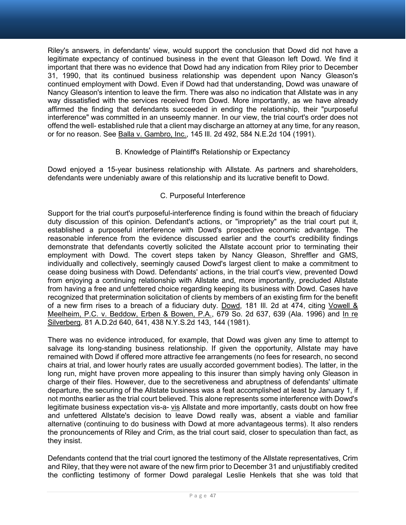Riley's answers, in defendants' view, would support the conclusion that Dowd did not have a legitimate expectancy of continued business in the event that Gleason left Dowd. We find it important that there was no evidence that Dowd had any indication from Riley prior to December 31, 1990, that its continued business relationship was dependent upon Nancy Gleason's continued employment with Dowd. Even if Dowd had that understanding, Dowd was unaware of Nancy Gleason's intention to leave the firm. There was also no indication that Allstate was in any way dissatisfied with the services received from Dowd. More importantly, as we have already affirmed the finding that defendants succeeded in ending the relationship, their "purposeful interference" was committed in an unseemly manner. In our view, the trial court's order does not offend the well- established rule that a client may discharge an attorney at any time, for any reason, or for no reason. See Balla v. Gambro, Inc., 145 Ill. 2d 492, 584 N.E.2d 104 (1991).

# B. Knowledge of Plaintiff's Relationship or Expectancy

Dowd enjoyed a 15-year business relationship with Allstate. As partners and shareholders, defendants were undeniably aware of this relationship and its lucrative benefit to Dowd.

# C. Purposeful Interference

Support for the trial court's purposeful-interference finding is found within the breach of fiduciary duty discussion of this opinion. Defendant's actions, or "impropriety" as the trial court put it, established a purposeful interference with Dowd's prospective economic advantage. The reasonable inference from the evidence discussed earlier and the court's credibility findings demonstrate that defendants covertly solicited the Allstate account prior to terminating their employment with Dowd. The covert steps taken by Nancy Gleason, Shreffler and GMS, individually and collectively, seemingly caused Dowd's largest client to make a commitment to cease doing business with Dowd. Defendants' actions, in the trial court's view, prevented Dowd from enjoying a continuing relationship with Allstate and, more importantly, precluded Allstate from having a free and unfettered choice regarding keeping its business with Dowd. Cases have recognized that pretermination solicitation of clients by members of an existing firm for the benefit of a new firm rises to a breach of a fiduciary duty. Dowd, 181 Ill. 2d at 474, citing Vowell & Meelheim, P.C. v. Beddow, Erben & Bowen, P.A., 679 So. 2d 637, 639 (Ala. 1996) and In re Silverberg, 81 A.D.2d 640, 641, 438 N.Y.S.2d 143, 144 (1981).

There was no evidence introduced, for example, that Dowd was given any time to attempt to salvage its long-standing business relationship. If given the opportunity, Allstate may have remained with Dowd if offered more attractive fee arrangements (no fees for research, no second chairs at trial, and lower hourly rates are usually accorded government bodies). The latter, in the long run, might have proven more appealing to this insurer than simply having only Gleason in charge of their files. However, due to the secretiveness and abruptness of defendants' ultimate departure, the securing of the Allstate business was a feat accomplished at least by January 1, if not months earlier as the trial court believed. This alone represents some interference with Dowd's legitimate business expectation vis-a- vis Allstate and more importantly, casts doubt on how free and unfettered Allstate's decision to leave Dowd really was, absent a viable and familiar alternative (continuing to do business with Dowd at more advantageous terms). It also renders the pronouncements of Riley and Crim, as the trial court said, closer to speculation than fact, as they insist.

Defendants contend that the trial court ignored the testimony of the Allstate representatives, Crim and Riley, that they were not aware of the new firm prior to December 31 and unjustifiably credited the conflicting testimony of former Dowd paralegal Leslie Henkels that she was told that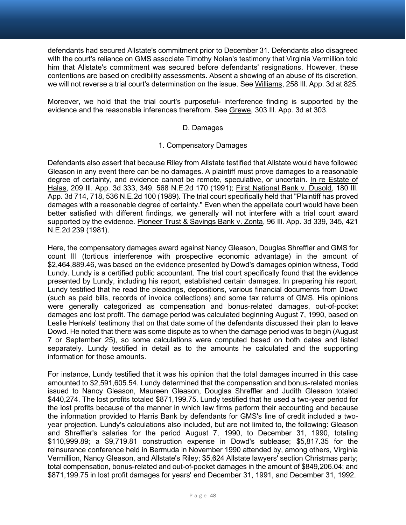defendants had secured Allstate's commitment prior to December 31. Defendants also disagreed with the court's reliance on GMS associate Timothy Nolan's testimony that Virginia Vermillion told him that Allstate's commitment was secured before defendants' resignations. However, these contentions are based on credibility assessments. Absent a showing of an abuse of its discretion, we will not reverse a trial court's determination on the issue. See Williams, 258 Ill. App. 3d at 825.

Moreover, we hold that the trial court's purposeful- interference finding is supported by the evidence and the reasonable inferences therefrom. See Grewe, 303 Ill. App. 3d at 303.

## D. Damages

## 1. Compensatory Damages

Defendants also assert that because Riley from Allstate testified that Allstate would have followed Gleason in any event there can be no damages. A plaintiff must prove damages to a reasonable degree of certainty, and evidence cannot be remote, speculative, or uncertain. In re Estate of Halas, 209 Ill. App. 3d 333, 349, 568 N.E.2d 170 (1991); First National Bank v. Dusold, 180 Ill. App. 3d 714, 718, 536 N.E.2d 100 (1989). The trial court specifically held that "Plaintiff has proved damages with a reasonable degree of certainty." Even when the appellate court would have been better satisfied with different findings, we generally will not interfere with a trial court award supported by the evidence. Pioneer Trust & Savings Bank v. Zonta, 96 Ill. App. 3d 339, 345, 421 N.E.2d 239 (1981).

Here, the compensatory damages award against Nancy Gleason, Douglas Shreffler and GMS for count III (tortious interference with prospective economic advantage) in the amount of \$2,464,889.46, was based on the evidence presented by Dowd's damages opinion witness, Todd Lundy. Lundy is a certified public accountant. The trial court specifically found that the evidence presented by Lundy, including his report, established certain damages. In preparing his report, Lundy testified that he read the pleadings, depositions, various financial documents from Dowd (such as paid bills, records of invoice collections) and some tax returns of GMS. His opinions were generally categorized as compensation and bonus-related damages, out-of-pocket damages and lost profit. The damage period was calculated beginning August 7, 1990, based on Leslie Henkels' testimony that on that date some of the defendants discussed their plan to leave Dowd. He noted that there was some dispute as to when the damage period was to begin (August 7 or September 25), so some calculations were computed based on both dates and listed separately. Lundy testified in detail as to the amounts he calculated and the supporting information for those amounts.

For instance, Lundy testified that it was his opinion that the total damages incurred in this case amounted to \$2,591,605.54. Lundy determined that the compensation and bonus-related monies issued to Nancy Gleason, Maureen Gleason, Douglas Shreffler and Judith Gleason totaled \$440,274. The lost profits totaled \$871,199.75. Lundy testified that he used a two-year period for the lost profits because of the manner in which law firms perform their accounting and because the information provided to Harris Bank by defendants for GMS's line of credit included a twoyear projection. Lundy's calculations also included, but are not limited to, the following: Gleason and Shreffler's salaries for the period August 7, 1990, to December 31, 1990, totaling \$110,999.89; a \$9,719.81 construction expense in Dowd's sublease; \$5,817.35 for the reinsurance conference held in Bermuda in November 1990 attended by, among others, Virginia Vermillion, Nancy Gleason, and Allstate's Riley; \$5,624 Allstate lawyers' section Christmas party; total compensation, bonus-related and out-of-pocket damages in the amount of \$849,206.04; and \$871,199.75 in lost profit damages for years' end December 31, 1991, and December 31, 1992.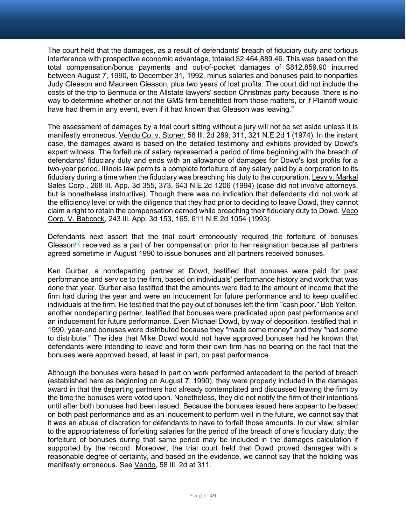The court held that the damages, as a result of defendants' breach of fiduciary duty and tortious interference with prospective economic advantage, totaled \$2,464,889.46. This was based on the total compensation/bonus payments and out-of-pocket damages of \$812,859.90 incurred between August 7, 1990, to December 31, 1992, minus salaries and bonuses paid to nonparties Judy Gleason and Maureen Gleason, plus two years of lost profits. The court did not include the costs of the trip to Bermuda or the Allstate lawyers' section Christmas party because "there is no way to determine whether or not the GMS firm benefitted from those matters, or if Plaintiff would have had them in any event, even if it had known that Gleason was leaving."

The assessment of damages by a trial court sitting without a jury will not be set aside unless it is manifestly erroneous. Vendo Co. v. Stoner, 58 Ill. 2d 289, 311, 321 N.E.2d 1 (1974). In the instant case, the damages award is based on the detailed testimony and exhibits provided by Dowd's expert witness. The forfeiture of salary represented a period of time beginning with the breach of defendants' fiduciary duty and ends with an allowance of damages for Dowd's lost profits for a two-year period. Illinois law permits a complete forfeiture of any salary paid by a corporation to its fiduciary during a time when the fiduciary was breaching his duty to the corporation. Levy v. Markal Sales Corp., 268 Ill. App. 3d 355, 373, 643 N.E.2d 1206 (1994) (case did not involve attorneys, but is nonetheless instructive). Though there was no indication that defendants did not work at the efficiency level or with the diligence that they had prior to deciding to leave Dowd, they cannot claim a right to retain the compensation earned while breaching their fiduciary duty to Dowd. Veco Corp. V. Babcock, 243 Ill. App. 3d 153, 165, 611 N.E.2d 1054 (1993).

Defendants next assert that the trial court erroneously required the forfeiture of bonuses Gleason<sup> $(5)$ </sup> received as a part of her compensation prior to her resignation because all partners agreed sometime in August 1990 to issue bonuses and all partners received bonuses.

Ken Gurber, a nondeparting partner at Dowd, testified that bonuses were paid for past performance and service to the firm, based on individuals' performance history and work that was done that year. Gurber also testified that the amounts were tied to the amount of income that the firm had during the year and were an inducement for future performance and to keep qualified individuals at the firm. He testified that the pay out of bonuses left the firm "cash poor." Bob Yelton, another nondeparting partner, testified that bonuses were predicated upon past performance and an inducement for future performance. Even Michael Dowd, by way of deposition, testified that in 1990, year-end bonuses were distributed because they "made some money" and they "had some to distribute." The idea that Mike Dowd would not have approved bonuses had he known that defendants were intending to leave and form their own firm has no bearing on the fact that the bonuses were approved based, at least in part, on past performance.

Although the bonuses were based in part on work performed antecedent to the period of breach (established here as beginning on August 7, 1990), they were properly included in the damages award in that the departing partners had already contemplated and discussed leaving the firm by the time the bonuses were voted upon. Nonetheless, they did not notify the firm of their intentions until after both bonuses had been issued. Because the bonuses issued here appear to be based on both past performance and as an inducement to perform well in the future, we cannot say that it was an abuse of discretion for defendants to have to forfeit those amounts. In our view, similar to the appropriateness of forfeiting salaries for the period of the breach of one's fiduciary duty, the forfeiture of bonuses during that same period may be included in the damages calculation if supported by the record. Moreover, the trial court held that Dowd proved damages with a reasonable degree of certainty, and based on the evidence, we cannot say that the holding was manifestly erroneous. See Vendo, 58 Ill. 2d at 311.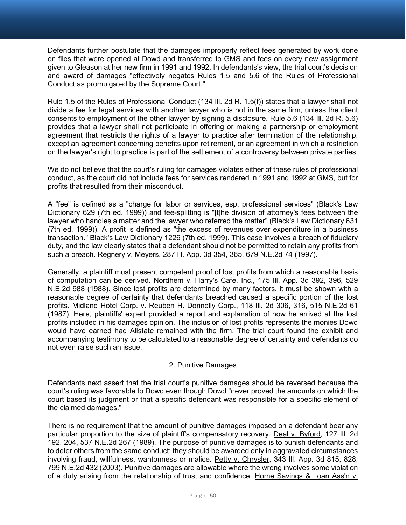Defendants further postulate that the damages improperly reflect fees generated by work done on files that were opened at Dowd and transferred to GMS and fees on every new assignment given to Gleason at her new firm in 1991 and 1992. In defendants's view, the trial court's decision and award of damages "effectively negates Rules 1.5 and 5.6 of the Rules of Professional Conduct as promulgated by the Supreme Court."

Rule 1.5 of the Rules of Professional Conduct (134 Ill. 2d R. 1.5(f)) states that a lawyer shall not divide a fee for legal services with another lawyer who is not in the same firm, unless the client consents to employment of the other lawyer by signing a disclosure. Rule 5.6 (134 Ill. 2d R. 5.6) provides that a lawyer shall not participate in offering or making a partnership or employment agreement that restricts the rights of a lawyer to practice after termination of the relationship, except an agreement concerning benefits upon retirement, or an agreement in which a restriction on the lawyer's right to practice is part of the settlement of a controversy between private parties.

We do not believe that the court's ruling for damages violates either of these rules of professional conduct, as the court did not include fees for services rendered in 1991 and 1992 at GMS, but for profits that resulted from their misconduct.

A "fee" is defined as a "charge for labor or services, esp. professional services" (Black's Law Dictionary 629 (7th ed. 1999)) and fee-splitting is "[t]he division of attorney's fees between the lawyer who handles a matter and the lawyer who referred the matter" (Black's Law Dictionary 631 (7th ed. 1999)). A profit is defined as "the excess of revenues over expenditure in a business transaction." Black's Law Dictionary 1226 (7th ed. 1999). This case involves a breach of fiduciary duty, and the law clearly states that a defendant should not be permitted to retain any profits from such a breach. Regnery v. Meyers, 287 Ill. App. 3d 354, 365, 679 N.E.2d 74 (1997).

Generally, a plaintiff must present competent proof of lost profits from which a reasonable basis of computation can be derived. Nordhem v. Harry's Cafe, Inc., 175 III. App. 3d 392, 396, 529 N.E.2d 988 (1988). Since lost profits are determined by many factors, it must be shown with a reasonable degree of certainty that defendants breached caused a specific portion of the lost profits. Midland Hotel Corp. v. Reuben H. Donnelly Corp., 118 Ill. 2d 306, 316, 515 N.E.2d 61 (1987). Here, plaintiffs' expert provided a report and explanation of how he arrived at the lost profits included in his damages opinion. The inclusion of lost profits represents the monies Dowd would have earned had Allstate remained with the firm. The trial court found the exhibit and accompanying testimony to be calculated to a reasonable degree of certainty and defendants do not even raise such an issue.

## 2. Punitive Damages

Defendants next assert that the trial court's punitive damages should be reversed because the court's ruling was favorable to Dowd even though Dowd "never proved the amounts on which the court based its judgment or that a specific defendant was responsible for a specific element of the claimed damages."

There is no requirement that the amount of punitive damages imposed on a defendant bear any particular proportion to the size of plaintiff's compensatory recovery. Deal v. Byford, 127 Ill. 2d 192, 204, 537 N.E.2d 267 (1989). The purpose of punitive damages is to punish defendants and to deter others from the same conduct; they should be awarded only in aggravated circumstances involving fraud, willfulness, wantonness or malice. Petty v. Chrysler, 343 Ill. App. 3d 815, 828, 799 N.E.2d 432 (2003). Punitive damages are allowable where the wrong involves some violation of a duty arising from the relationship of trust and confidence. Home Savings & Loan Ass'n v.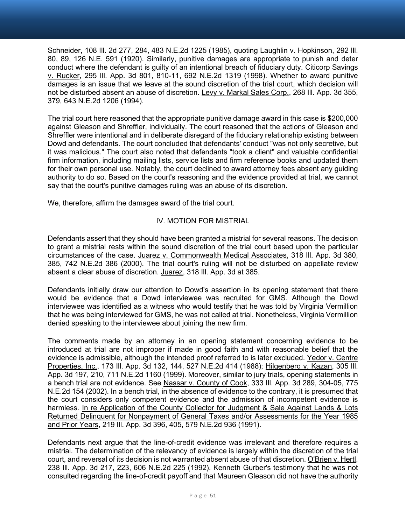Schneider, 108 Ill. 2d 277, 284, 483 N.E.2d 1225 (1985), quoting Laughlin v. Hopkinson, 292 Ill. 80, 89, 126 N.E. 591 (1920). Similarly, punitive damages are appropriate to punish and deter conduct where the defendant is guilty of an intentional breach of fiduciary duty. Citicorp Savings v. Rucker, 295 Ill. App. 3d 801, 810-11, 692 N.E.2d 1319 (1998). Whether to award punitive damages is an issue that we leave at the sound discretion of the trial court, which decision will not be disturbed absent an abuse of discretion. Levy v. Markal Sales Corp., 268 Ill. App. 3d 355, 379, 643 N.E.2d 1206 (1994).

The trial court here reasoned that the appropriate punitive damage award in this case is \$200,000 against Gleason and Shreffler, individually. The court reasoned that the actions of Gleason and Shreffler were intentional and in deliberate disregard of the fiduciary relationship existing between Dowd and defendants. The court concluded that defendants' conduct "was not only secretive, but it was malicious." The court also noted that defendants "took a client" and valuable confidential firm information, including mailing lists, service lists and firm reference books and updated them for their own personal use. Notably, the court declined to award attorney fees absent any guiding authority to do so. Based on the court's reasoning and the evidence provided at trial, we cannot say that the court's punitive damages ruling was an abuse of its discretion.

We, therefore, affirm the damages award of the trial court.

# IV. MOTION FOR MISTRIAL

Defendants assert that they should have been granted a mistrial for several reasons. The decision to grant a mistrial rests within the sound discretion of the trial court based upon the particular circumstances of the case. Juarez v. Commonwealth Medical Associates, 318 Ill. App. 3d 380, 385, 742 N.E.2d 386 (2000). The trial court's ruling will not be disturbed on appellate review absent a clear abuse of discretion. Juarez, 318 Ill. App. 3d at 385.

Defendants initially draw our attention to Dowd's assertion in its opening statement that there would be evidence that a Dowd interviewee was recruited for GMS. Although the Dowd interviewee was identified as a witness who would testify that he was told by Virginia Vermillion that he was being interviewed for GMS, he was not called at trial. Nonetheless, Virginia Vermillion denied speaking to the interviewee about joining the new firm.

The comments made by an attorney in an opening statement concerning evidence to be introduced at trial are not improper if made in good faith and with reasonable belief that the evidence is admissible, although the intended proof referred to is later excluded. Yedor v. Centre Properties, Inc., 173 Ill. App. 3d 132, 144, 527 N.E.2d 414 (1988); Hilgenberg v. Kazan, 305 Ill. App. 3d 197, 210, 711 N.E.2d 1160 (1999). Moreover, similar to jury trials, opening statements in a bench trial are not evidence. See Nassar v. County of Cook, 333 Ill. App. 3d 289, 304-05, 775 N.E.2d 154 (2002). In a bench trial, in the absence of evidence to the contrary, it is presumed that the court considers only competent evidence and the admission of incompetent evidence is harmless. In re Application of the County Collector for Judgment & Sale Against Lands & Lots Returned Delinquent for Nonpayment of General Taxes and/or Assessments for the Year 1985 and Prior Years, 219 Ill. App. 3d 396, 405, 579 N.E.2d 936 (1991).

Defendants next argue that the line-of-credit evidence was irrelevant and therefore requires a mistrial. The determination of the relevancy of evidence is largely within the discretion of the trial court, and reversal of its decision is not warranted absent abuse of that discretion. O'Brien v. Hertl, 238 Ill. App. 3d 217, 223, 606 N.E.2d 225 (1992). Kenneth Gurber's testimony that he was not consulted regarding the line-of-credit payoff and that Maureen Gleason did not have the authority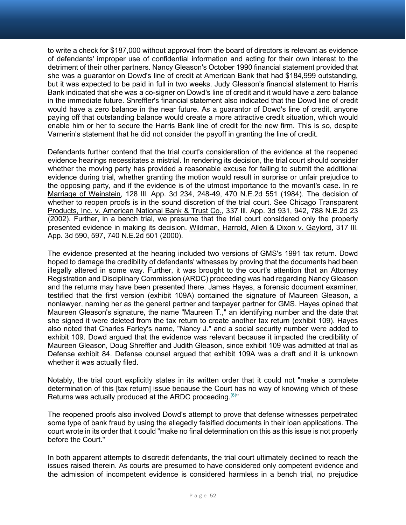to write a check for \$187,000 without approval from the board of directors is relevant as evidence of defendants' improper use of confidential information and acting for their own interest to the detriment of their other partners. Nancy Gleason's October 1990 financial statement provided that she was a guarantor on Dowd's line of credit at American Bank that had \$184,999 outstanding, but it was expected to be paid in full in two weeks. Judy Gleason's financial statement to Harris Bank indicated that she was a co-signer on Dowd's line of credit and it would have a zero balance in the immediate future. Shreffler's financial statement also indicated that the Dowd line of credit would have a zero balance in the near future. As a guarantor of Dowd's line of credit, anyone paying off that outstanding balance would create a more attractive credit situation, which would enable him or her to secure the Harris Bank line of credit for the new firm. This is so, despite Varnerin's statement that he did not consider the payoff in granting the line of credit.

Defendants further contend that the trial court's consideration of the evidence at the reopened evidence hearings necessitates a mistrial. In rendering its decision, the trial court should consider whether the moving party has provided a reasonable excuse for failing to submit the additional evidence during trial, whether granting the motion would result in surprise or unfair prejudice to the opposing party, and if the evidence is of the utmost importance to the movant's case. In re Marriage of Weinstein, 128 Ill. App. 3d 234, 248-49, 470 N.E.2d 551 (1984). The decision of whether to reopen proofs is in the sound discretion of the trial court. See Chicago Transparent Products, Inc. v. American National Bank & Trust Co., 337 III. App. 3d 931, 942, 788 N.E.2d 23 (2002). Further, in a bench trial, we presume that the trial court considered only the properly presented evidence in making its decision. Wildman, Harrold, Allen & Dixon v. Gaylord, 317 Ill. App. 3d 590, 597, 740 N.E.2d 501 (2000).

The evidence presented at the hearing included two versions of GMS's 1991 tax return. Dowd hoped to damage the credibility of defendants' witnesses by proving that the documents had been illegally altered in some way. Further, it was brought to the court's attention that an Attorney Registration and Disciplinary Commission (ARDC) proceeding was had regarding Nancy Gleason and the returns may have been presented there. James Hayes, a forensic document examiner, testified that the first version (exhibit 109A) contained the signature of Maureen Gleason, a nonlawyer, naming her as the general partner and taxpayer partner for GMS. Hayes opined that Maureen Gleason's signature, the name "Maureen T.," an identifying number and the date that she signed it were deleted from the tax return to create another tax return (exhibit 109). Hayes also noted that Charles Farley's name, "Nancy J." and a social security number were added to exhibit 109. Dowd argued that the evidence was relevant because it impacted the credibility of Maureen Gleason, Doug Shreffler and Judith Gleason, since exhibit 109 was admitted at trial as Defense exhibit 84. Defense counsel argued that exhibit 109A was a draft and it is unknown whether it was actually filed.

Notably, the trial court explicitly states in its written order that it could not "make a complete determination of this [tax return] issue because the Court has no way of knowing which of these Returns was actually produced at the ARDC proceeding[.\(6\)"](http://www.state.il.us/court/Opinions/AppellateCourt/2004/1stDistrict/September/HTML/1011002.htm#N_6_#N_6_)

The reopened proofs also involved Dowd's attempt to prove that defense witnesses perpetrated some type of bank fraud by using the allegedly falsified documents in their loan applications. The court wrote in its order that it could "make no final determination on this as this issue is not properly before the Court."

In both apparent attempts to discredit defendants, the trial court ultimately declined to reach the issues raised therein. As courts are presumed to have considered only competent evidence and the admission of incompetent evidence is considered harmless in a bench trial, no prejudice